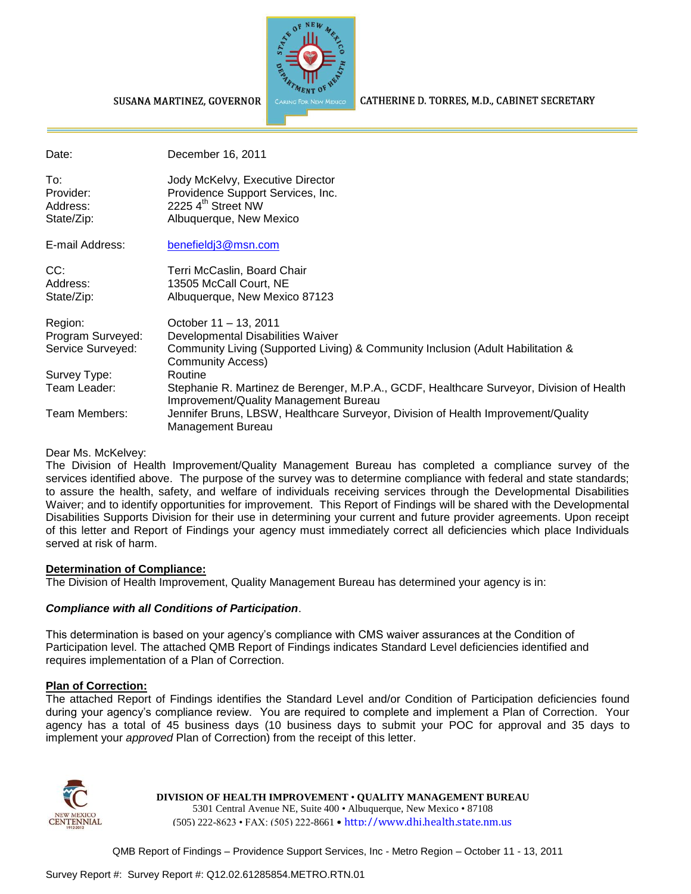

CATHERINE D. TORRES, M.D., CABINET SECRETARY

#### SUSANA MARTINEZ, GOVERNOR

| Date:                                             | December 16, 2011                                                                                                                                                         |
|---------------------------------------------------|---------------------------------------------------------------------------------------------------------------------------------------------------------------------------|
| To:<br>Provider:<br>Address:<br>State/Zip:        | Jody McKelvy, Executive Director<br>Providence Support Services, Inc.<br>2225 4 <sup>th</sup> Street NW<br>Albuquerque, New Mexico                                        |
| E-mail Address:                                   | benefieldj3@msn.com                                                                                                                                                       |
| CC:<br>Address:<br>State/Zip:                     | Terri McCaslin, Board Chair<br>13505 McCall Court, NE<br>Albuquerque, New Mexico 87123                                                                                    |
| Region:<br>Program Surveyed:<br>Service Surveyed: | October 11 - 13, 2011<br>Developmental Disabilities Waiver<br>Community Living (Supported Living) & Community Inclusion (Adult Habilitation &<br><b>Community Access)</b> |
| Survey Type:                                      | Routine                                                                                                                                                                   |
| Team Leader:                                      | Stephanie R. Martinez de Berenger, M.P.A., GCDF, Healthcare Surveyor, Division of Health<br>Improvement/Quality Management Bureau                                         |
| Team Members:                                     | Jennifer Bruns, LBSW, Healthcare Surveyor, Division of Health Improvement/Quality<br>Management Bureau                                                                    |

#### Dear Ms. McKelvey:

The Division of Health Improvement/Quality Management Bureau has completed a compliance survey of the services identified above. The purpose of the survey was to determine compliance with federal and state standards; to assure the health, safety, and welfare of individuals receiving services through the Developmental Disabilities Waiver; and to identify opportunities for improvement. This Report of Findings will be shared with the Developmental Disabilities Supports Division for their use in determining your current and future provider agreements. Upon receipt of this letter and Report of Findings your agency must immediately correct all deficiencies which place Individuals served at risk of harm.

#### **Determination of Compliance:**

The Division of Health Improvement, Quality Management Bureau has determined your agency is in:

#### *Compliance with all Conditions of Participation*.

This determination is based on your agency's compliance with CMS waiver assurances at the Condition of Participation level. The attached QMB Report of Findings indicates Standard Level deficiencies identified and requires implementation of a Plan of Correction.

#### **Plan of Correction:**

The attached Report of Findings identifies the Standard Level and/or Condition of Participation deficiencies found during your agency's compliance review. You are required to complete and implement a Plan of Correction. Your agency has a total of 45 business days (10 business days to submit your POC for approval and 35 days to implement your *approved* Plan of Correction) from the receipt of this letter.



#### **DIVISION OF HEALTH IMPROVEMENT** • **QUALITY MANAGEMENT BUREAU**

5301 Central Avenue NE, Suite 400 • Albuquerque, New Mexico • 87108 (505) 222-8623 • FAX: (505) 222-8661 • http://www.dhi.health.state.nm.us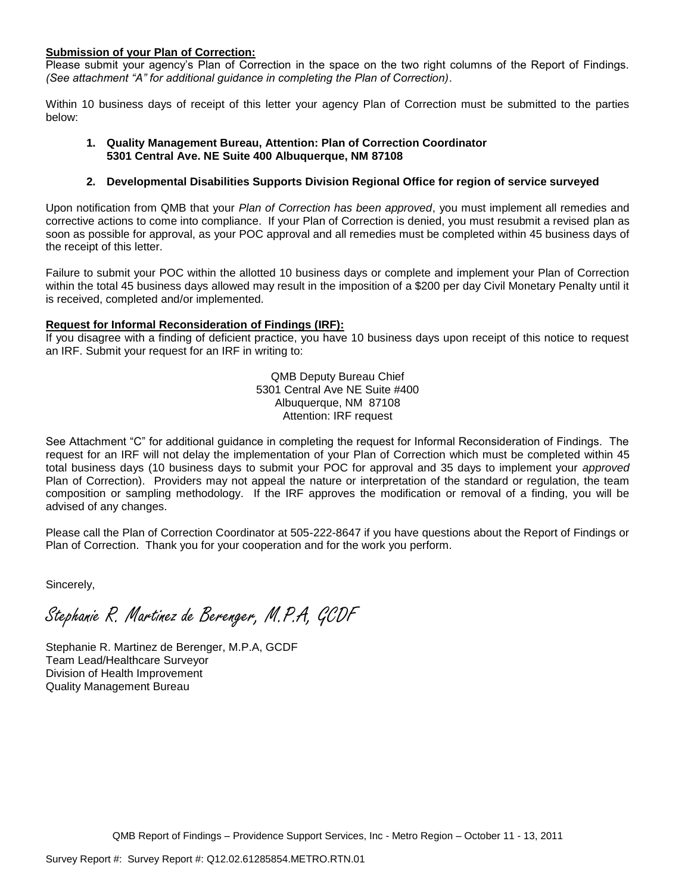### **Submission of your Plan of Correction:**

Please submit your agency's Plan of Correction in the space on the two right columns of the Report of Findings. *(See attachment "A" for additional guidance in completing the Plan of Correction)*.

Within 10 business days of receipt of this letter your agency Plan of Correction must be submitted to the parties below:

#### **1. Quality Management Bureau, Attention: Plan of Correction Coordinator 5301 Central Ave. NE Suite 400 Albuquerque, NM 87108**

### **2. Developmental Disabilities Supports Division Regional Office for region of service surveyed**

Upon notification from QMB that your *Plan of Correction has been approved*, you must implement all remedies and corrective actions to come into compliance. If your Plan of Correction is denied, you must resubmit a revised plan as soon as possible for approval, as your POC approval and all remedies must be completed within 45 business days of the receipt of this letter.

Failure to submit your POC within the allotted 10 business days or complete and implement your Plan of Correction within the total 45 business days allowed may result in the imposition of a \$200 per day Civil Monetary Penalty until it is received, completed and/or implemented.

#### **Request for Informal Reconsideration of Findings (IRF):**

If you disagree with a finding of deficient practice, you have 10 business days upon receipt of this notice to request an IRF. Submit your request for an IRF in writing to:

> QMB Deputy Bureau Chief 5301 Central Ave NE Suite #400 Albuquerque, NM 87108 Attention: IRF request

See Attachment "C" for additional guidance in completing the request for Informal Reconsideration of Findings. The request for an IRF will not delay the implementation of your Plan of Correction which must be completed within 45 total business days (10 business days to submit your POC for approval and 35 days to implement your *approved* Plan of Correction). Providers may not appeal the nature or interpretation of the standard or regulation, the team composition or sampling methodology. If the IRF approves the modification or removal of a finding, you will be advised of any changes.

Please call the Plan of Correction Coordinator at 505-222-8647 if you have questions about the Report of Findings or Plan of Correction. Thank you for your cooperation and for the work you perform.

Sincerely,

Stephanie R. Martinez de Berenger, M.P.A, GCDF

Stephanie R. Martinez de Berenger, M.P.A, GCDF Team Lead/Healthcare Surveyor Division of Health Improvement Quality Management Bureau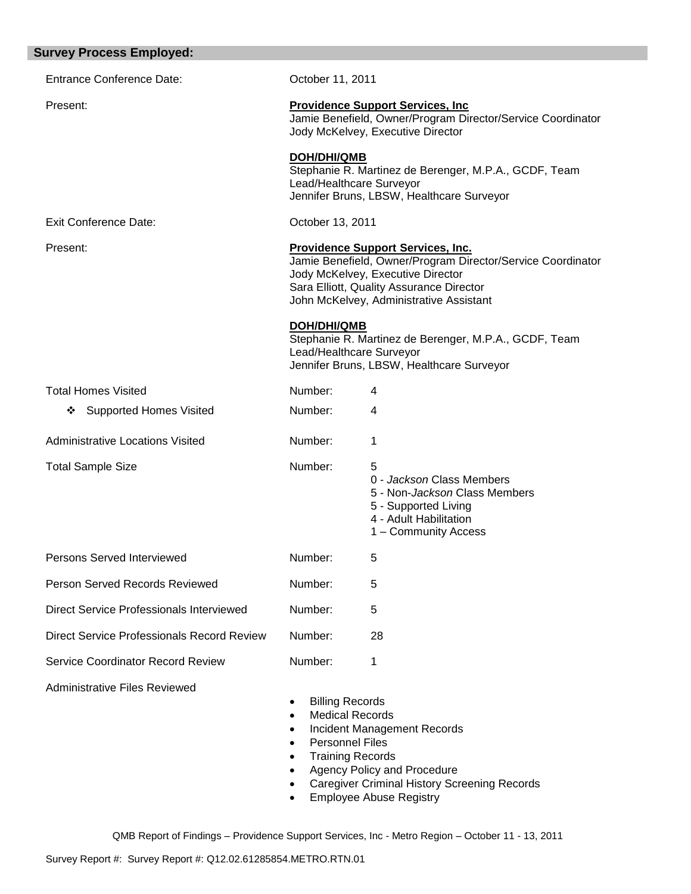| <b>Survey Process Employed:</b>            |                                                                                                                                                                                     |                                                                                                                                                                                                                                     |
|--------------------------------------------|-------------------------------------------------------------------------------------------------------------------------------------------------------------------------------------|-------------------------------------------------------------------------------------------------------------------------------------------------------------------------------------------------------------------------------------|
| <b>Entrance Conference Date:</b>           | October 11, 2011                                                                                                                                                                    |                                                                                                                                                                                                                                     |
| Present:                                   |                                                                                                                                                                                     | <b>Providence Support Services, Inc.</b><br>Jamie Benefield, Owner/Program Director/Service Coordinator<br>Jody McKelvey, Executive Director                                                                                        |
|                                            | <b>DOH/DHI/QMB</b><br>Lead/Healthcare Surveyor                                                                                                                                      | Stephanie R. Martinez de Berenger, M.P.A., GCDF, Team<br>Jennifer Bruns, LBSW, Healthcare Surveyor                                                                                                                                  |
| <b>Exit Conference Date:</b>               | October 13, 2011                                                                                                                                                                    |                                                                                                                                                                                                                                     |
| Present:                                   |                                                                                                                                                                                     | <b>Providence Support Services, Inc.</b><br>Jamie Benefield, Owner/Program Director/Service Coordinator<br>Jody McKelvey, Executive Director<br>Sara Elliott, Quality Assurance Director<br>John McKelvey, Administrative Assistant |
|                                            | <b>DOH/DHI/QMB</b><br>Lead/Healthcare Surveyor                                                                                                                                      | Stephanie R. Martinez de Berenger, M.P.A., GCDF, Team<br>Jennifer Bruns, LBSW, Healthcare Surveyor                                                                                                                                  |
| <b>Total Homes Visited</b>                 | Number:                                                                                                                                                                             | 4                                                                                                                                                                                                                                   |
| <b>Supported Homes Visited</b><br>❖        | Number:                                                                                                                                                                             | 4                                                                                                                                                                                                                                   |
| <b>Administrative Locations Visited</b>    | Number:                                                                                                                                                                             | 1                                                                                                                                                                                                                                   |
| <b>Total Sample Size</b>                   | Number:                                                                                                                                                                             | 5<br>0 - Jackson Class Members<br>5 - Non-Jackson Class Members<br>5 - Supported Living<br>4 - Adult Habilitation<br>1 - Community Access                                                                                           |
| Persons Served Interviewed                 | Number:                                                                                                                                                                             | 5                                                                                                                                                                                                                                   |
| Person Served Records Reviewed             | Number:                                                                                                                                                                             | 5                                                                                                                                                                                                                                   |
| Direct Service Professionals Interviewed   | Number:                                                                                                                                                                             | 5                                                                                                                                                                                                                                   |
| Direct Service Professionals Record Review | Number:                                                                                                                                                                             | 28                                                                                                                                                                                                                                  |
| <b>Service Coordinator Record Review</b>   | Number:                                                                                                                                                                             | 1                                                                                                                                                                                                                                   |
| <b>Administrative Files Reviewed</b>       | <b>Billing Records</b><br><b>Medical Records</b><br>$\bullet$<br>$\bullet$<br><b>Personnel Files</b><br>$\bullet$<br><b>Training Records</b><br>$\bullet$<br>$\bullet$<br>$\bullet$ | <b>Incident Management Records</b><br>Agency Policy and Procedure<br><b>Caregiver Criminal History Screening Records</b><br><b>Employee Abuse Registry</b>                                                                          |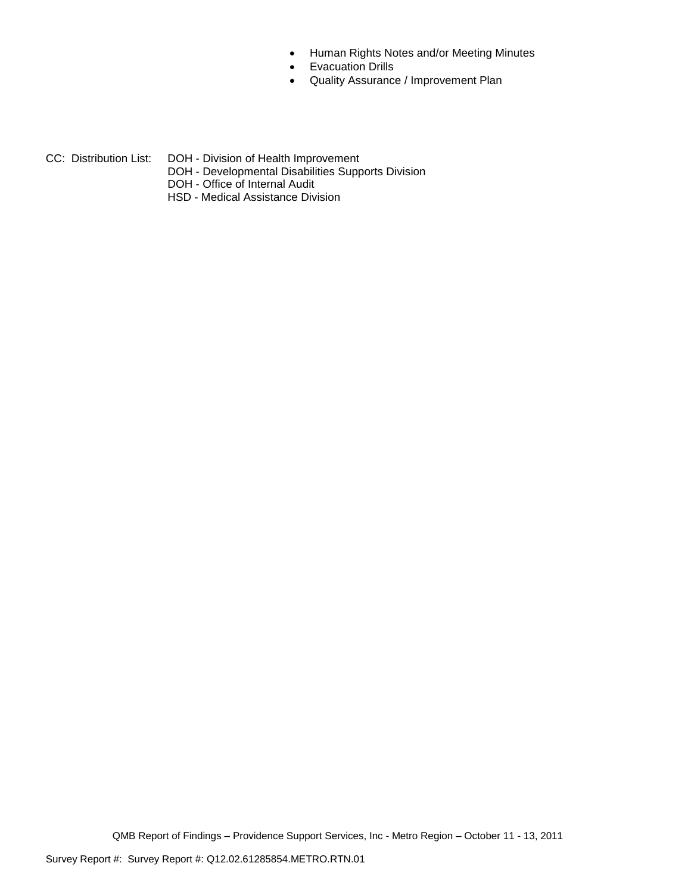- Human Rights Notes and/or Meeting Minutes
- **•** Evacuation Drills
- Quality Assurance / Improvement Plan
- CC: Distribution List: DOH Division of Health Improvement
	- DOH Developmental Disabilities Supports Division
	- DOH Office of Internal Audit
	- HSD Medical Assistance Division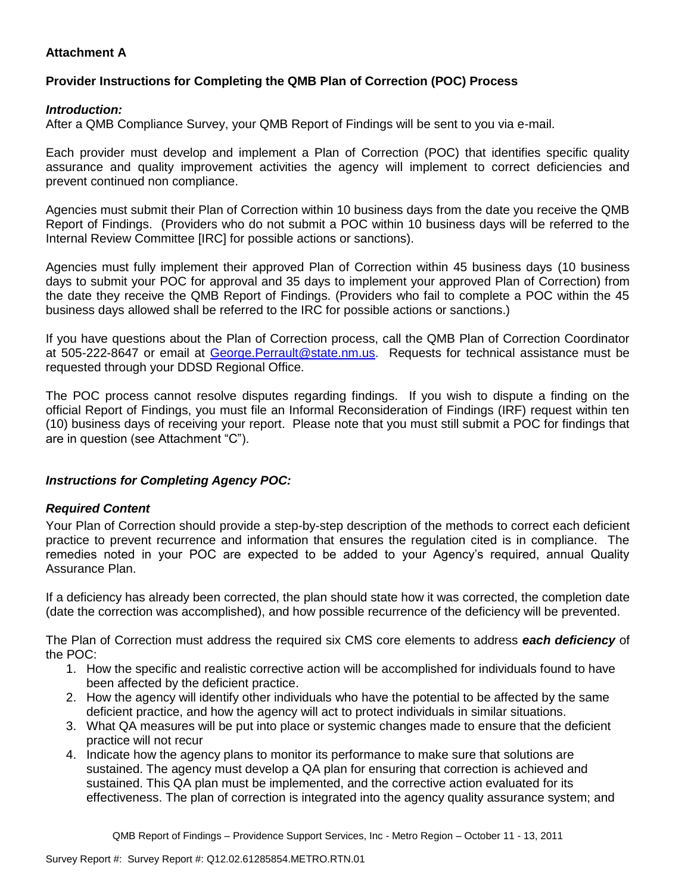# **Attachment A**

# **Provider Instructions for Completing the QMB Plan of Correction (POC) Process**

## *Introduction:*

After a QMB Compliance Survey, your QMB Report of Findings will be sent to you via e-mail.

Each provider must develop and implement a Plan of Correction (POC) that identifies specific quality assurance and quality improvement activities the agency will implement to correct deficiencies and prevent continued non compliance.

Agencies must submit their Plan of Correction within 10 business days from the date you receive the QMB Report of Findings. (Providers who do not submit a POC within 10 business days will be referred to the Internal Review Committee [IRC] for possible actions or sanctions).

Agencies must fully implement their approved Plan of Correction within 45 business days (10 business days to submit your POC for approval and 35 days to implement your approved Plan of Correction) from the date they receive the QMB Report of Findings. (Providers who fail to complete a POC within the 45 business days allowed shall be referred to the IRC for possible actions or sanctions.)

If you have questions about the Plan of Correction process, call the QMB Plan of Correction Coordinator at 505-222-8647 or email at George. Perrault@state.nm.us. Requests for technical assistance must be requested through your DDSD Regional Office.

The POC process cannot resolve disputes regarding findings. If you wish to dispute a finding on the official Report of Findings, you must file an Informal Reconsideration of Findings (IRF) request within ten (10) business days of receiving your report. Please note that you must still submit a POC for findings that are in question (see Attachment "C").

## *Instructions for Completing Agency POC:*

## *Required Content*

Your Plan of Correction should provide a step-by-step description of the methods to correct each deficient practice to prevent recurrence and information that ensures the regulation cited is in compliance. The remedies noted in your POC are expected to be added to your Agency's required, annual Quality Assurance Plan.

If a deficiency has already been corrected, the plan should state how it was corrected, the completion date (date the correction was accomplished), and how possible recurrence of the deficiency will be prevented.

The Plan of Correction must address the required six CMS core elements to address *each deficiency* of the POC:

- 1. How the specific and realistic corrective action will be accomplished for individuals found to have been affected by the deficient practice.
- 2. How the agency will identify other individuals who have the potential to be affected by the same deficient practice, and how the agency will act to protect individuals in similar situations.
- 3. What QA measures will be put into place or systemic changes made to ensure that the deficient practice will not recur
- 4. Indicate how the agency plans to monitor its performance to make sure that solutions are sustained. The agency must develop a QA plan for ensuring that correction is achieved and sustained. This QA plan must be implemented, and the corrective action evaluated for its effectiveness. The plan of correction is integrated into the agency quality assurance system; and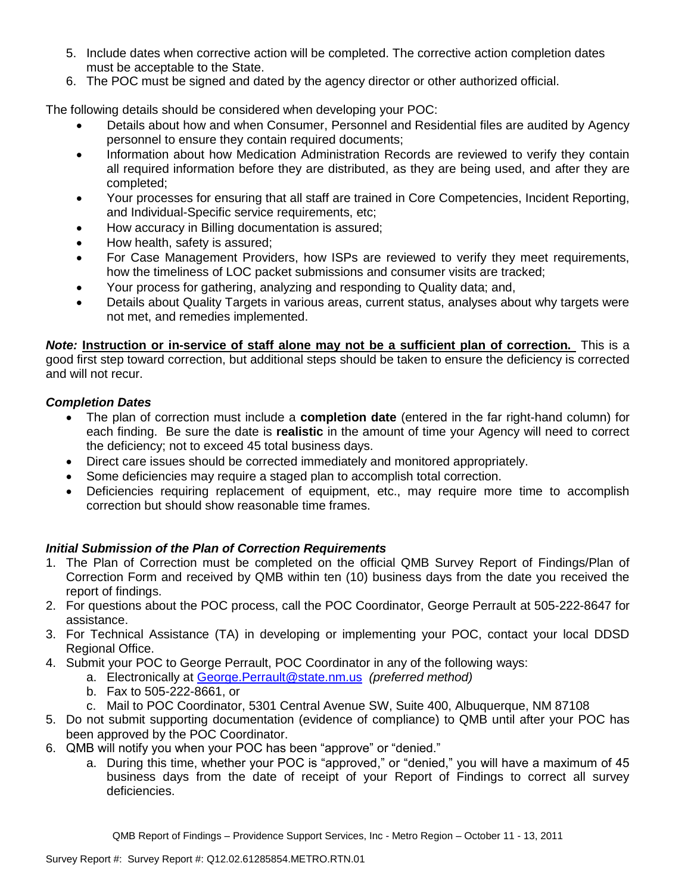- 5. Include dates when corrective action will be completed. The corrective action completion dates must be acceptable to the State.
- 6. The POC must be signed and dated by the agency director or other authorized official.

The following details should be considered when developing your POC:

- Details about how and when Consumer, Personnel and Residential files are audited by Agency personnel to ensure they contain required documents;
- Information about how Medication Administration Records are reviewed to verify they contain all required information before they are distributed, as they are being used, and after they are completed;
- Your processes for ensuring that all staff are trained in Core Competencies, Incident Reporting, and Individual-Specific service requirements, etc;
- How accuracy in Billing documentation is assured;
- How health, safety is assured;
- For Case Management Providers, how ISPs are reviewed to verify they meet requirements, how the timeliness of LOC packet submissions and consumer visits are tracked;
- Your process for gathering, analyzing and responding to Quality data; and,
- Details about Quality Targets in various areas, current status, analyses about why targets were not met, and remedies implemented.

*Note:* **Instruction or in-service of staff alone may not be a sufficient plan of correction.** This is a good first step toward correction, but additional steps should be taken to ensure the deficiency is corrected and will not recur.

## *Completion Dates*

- The plan of correction must include a **completion date** (entered in the far right-hand column) for each finding. Be sure the date is **realistic** in the amount of time your Agency will need to correct the deficiency; not to exceed 45 total business days.
- Direct care issues should be corrected immediately and monitored appropriately.
- Some deficiencies may require a staged plan to accomplish total correction.
- Deficiencies requiring replacement of equipment, etc., may require more time to accomplish correction but should show reasonable time frames.

## *Initial Submission of the Plan of Correction Requirements*

- 1. The Plan of Correction must be completed on the official QMB Survey Report of Findings/Plan of Correction Form and received by QMB within ten (10) business days from the date you received the report of findings.
- 2. For questions about the POC process, call the POC Coordinator, George Perrault at 505-222-8647 for assistance.
- 3. For Technical Assistance (TA) in developing or implementing your POC, contact your local DDSD Regional Office.
- 4. Submit your POC to George Perrault, POC Coordinator in any of the following ways:
	- a. Electronically at [George.Perrault@state.nm.us](mailto:George.Perrault@state.nm.us) *(preferred method)*
	- b. Fax to 505-222-8661, or
	- c. Mail to POC Coordinator, 5301 Central Avenue SW, Suite 400, Albuquerque, NM 87108
- 5. Do not submit supporting documentation (evidence of compliance) to QMB until after your POC has been approved by the POC Coordinator.
- 6. QMB will notify you when your POC has been "approve" or "denied."
	- a. During this time, whether your POC is "approved," or "denied," you will have a maximum of 45 business days from the date of receipt of your Report of Findings to correct all survey deficiencies.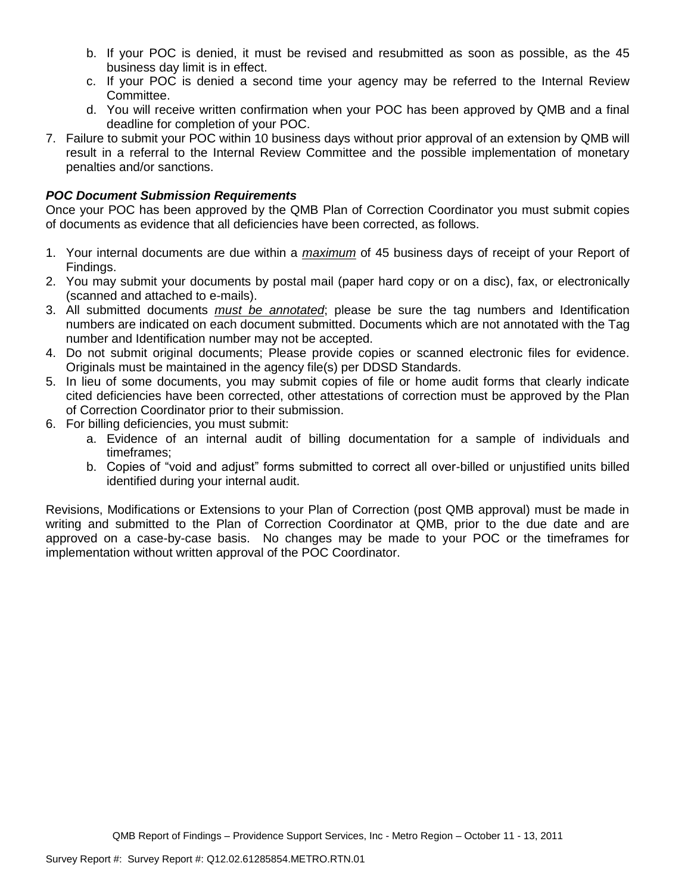- b. If your POC is denied, it must be revised and resubmitted as soon as possible, as the 45 business day limit is in effect.
- c. If your POC is denied a second time your agency may be referred to the Internal Review Committee.
- d. You will receive written confirmation when your POC has been approved by QMB and a final deadline for completion of your POC.
- 7. Failure to submit your POC within 10 business days without prior approval of an extension by QMB will result in a referral to the Internal Review Committee and the possible implementation of monetary penalties and/or sanctions.

## *POC Document Submission Requirements*

Once your POC has been approved by the QMB Plan of Correction Coordinator you must submit copies of documents as evidence that all deficiencies have been corrected, as follows.

- 1. Your internal documents are due within a *maximum* of 45 business days of receipt of your Report of Findings.
- 2. You may submit your documents by postal mail (paper hard copy or on a disc), fax, or electronically (scanned and attached to e-mails).
- 3. All submitted documents *must be annotated*; please be sure the tag numbers and Identification numbers are indicated on each document submitted. Documents which are not annotated with the Tag number and Identification number may not be accepted.
- 4. Do not submit original documents; Please provide copies or scanned electronic files for evidence. Originals must be maintained in the agency file(s) per DDSD Standards.
- 5. In lieu of some documents, you may submit copies of file or home audit forms that clearly indicate cited deficiencies have been corrected, other attestations of correction must be approved by the Plan of Correction Coordinator prior to their submission.
- 6. For billing deficiencies, you must submit:
	- a. Evidence of an internal audit of billing documentation for a sample of individuals and timeframes;
	- b. Copies of "void and adjust" forms submitted to correct all over-billed or unjustified units billed identified during your internal audit.

Revisions, Modifications or Extensions to your Plan of Correction (post QMB approval) must be made in writing and submitted to the Plan of Correction Coordinator at QMB, prior to the due date and are approved on a case-by-case basis. No changes may be made to your POC or the timeframes for implementation without written approval of the POC Coordinator.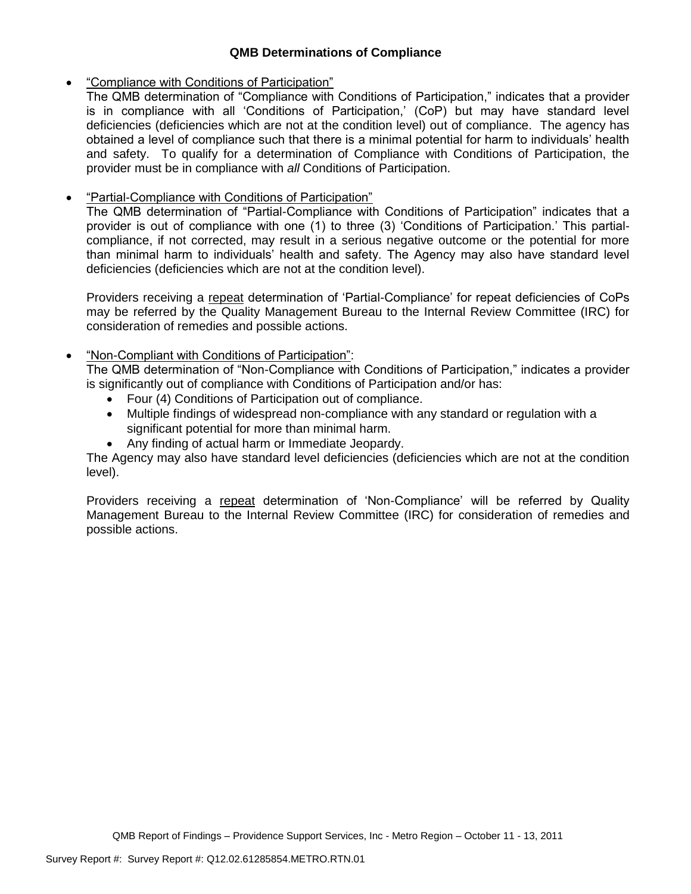## **QMB Determinations of Compliance**

# "Compliance with Conditions of Participation"

The QMB determination of "Compliance with Conditions of Participation," indicates that a provider is in compliance with all 'Conditions of Participation,' (CoP) but may have standard level deficiencies (deficiencies which are not at the condition level) out of compliance. The agency has obtained a level of compliance such that there is a minimal potential for harm to individuals' health and safety. To qualify for a determination of Compliance with Conditions of Participation, the provider must be in compliance with *all* Conditions of Participation.

# "Partial-Compliance with Conditions of Participation"

The QMB determination of "Partial-Compliance with Conditions of Participation" indicates that a provider is out of compliance with one (1) to three (3) 'Conditions of Participation.' This partialcompliance, if not corrected, may result in a serious negative outcome or the potential for more than minimal harm to individuals' health and safety. The Agency may also have standard level deficiencies (deficiencies which are not at the condition level).

Providers receiving a repeat determination of 'Partial-Compliance' for repeat deficiencies of CoPs may be referred by the Quality Management Bureau to the Internal Review Committee (IRC) for consideration of remedies and possible actions.

# "Non-Compliant with Conditions of Participation":

The QMB determination of "Non-Compliance with Conditions of Participation," indicates a provider is significantly out of compliance with Conditions of Participation and/or has:

- Four (4) Conditions of Participation out of compliance.
- Multiple findings of widespread non-compliance with any standard or regulation with a significant potential for more than minimal harm.
- Any finding of actual harm or Immediate Jeopardy.

The Agency may also have standard level deficiencies (deficiencies which are not at the condition level).

Providers receiving a repeat determination of 'Non-Compliance' will be referred by Quality Management Bureau to the Internal Review Committee (IRC) for consideration of remedies and possible actions.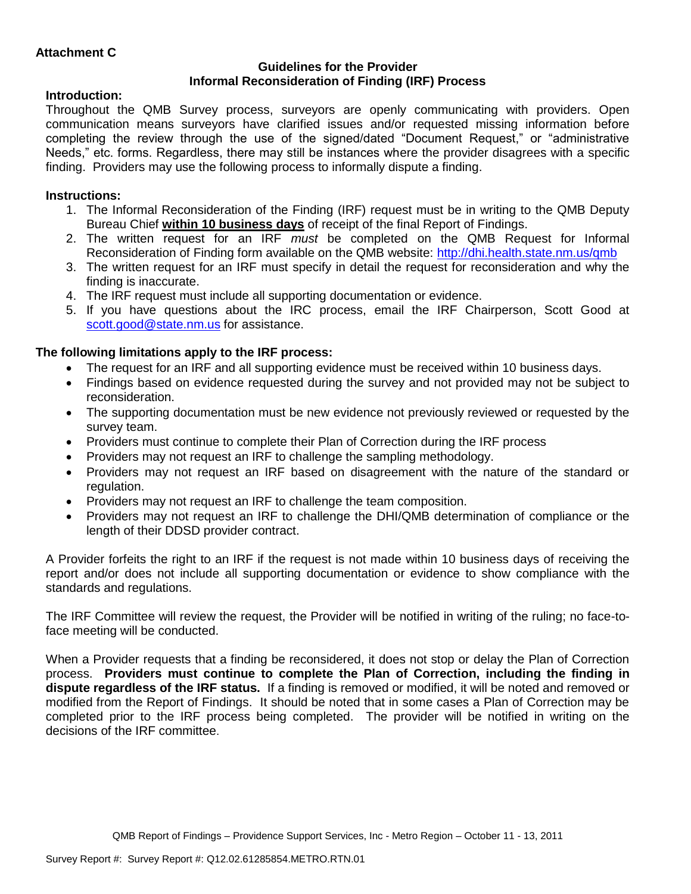## **Guidelines for the Provider Informal Reconsideration of Finding (IRF) Process**

# **Introduction:**

Throughout the QMB Survey process, surveyors are openly communicating with providers. Open communication means surveyors have clarified issues and/or requested missing information before completing the review through the use of the signed/dated "Document Request," or "administrative Needs," etc. forms. Regardless, there may still be instances where the provider disagrees with a specific finding. Providers may use the following process to informally dispute a finding.

# **Instructions:**

- 1. The Informal Reconsideration of the Finding (IRF) request must be in writing to the QMB Deputy Bureau Chief **within 10 business days** of receipt of the final Report of Findings.
- 2. The written request for an IRF *must* be completed on the QMB Request for Informal Reconsideration of Finding form available on the QMB website:<http://dhi.health.state.nm.us/qmb>
- 3. The written request for an IRF must specify in detail the request for reconsideration and why the finding is inaccurate.
- 4. The IRF request must include all supporting documentation or evidence.
- 5. If you have questions about the IRC process, email the IRF Chairperson, Scott Good at [scott.good@state.nm.us](mailto:scott.good@state.nm.us) for assistance.

# **The following limitations apply to the IRF process:**

- The request for an IRF and all supporting evidence must be received within 10 business days.
- Findings based on evidence requested during the survey and not provided may not be subject to reconsideration.
- The supporting documentation must be new evidence not previously reviewed or requested by the survey team.
- Providers must continue to complete their Plan of Correction during the IRF process
- Providers may not request an IRF to challenge the sampling methodology.
- Providers may not request an IRF based on disagreement with the nature of the standard or regulation.
- Providers may not request an IRF to challenge the team composition.
- Providers may not request an IRF to challenge the DHI/QMB determination of compliance or the length of their DDSD provider contract.

A Provider forfeits the right to an IRF if the request is not made within 10 business days of receiving the report and/or does not include all supporting documentation or evidence to show compliance with the standards and regulations.

The IRF Committee will review the request, the Provider will be notified in writing of the ruling; no face-toface meeting will be conducted.

When a Provider requests that a finding be reconsidered, it does not stop or delay the Plan of Correction process. **Providers must continue to complete the Plan of Correction, including the finding in dispute regardless of the IRF status.** If a finding is removed or modified, it will be noted and removed or modified from the Report of Findings. It should be noted that in some cases a Plan of Correction may be completed prior to the IRF process being completed. The provider will be notified in writing on the decisions of the IRF committee.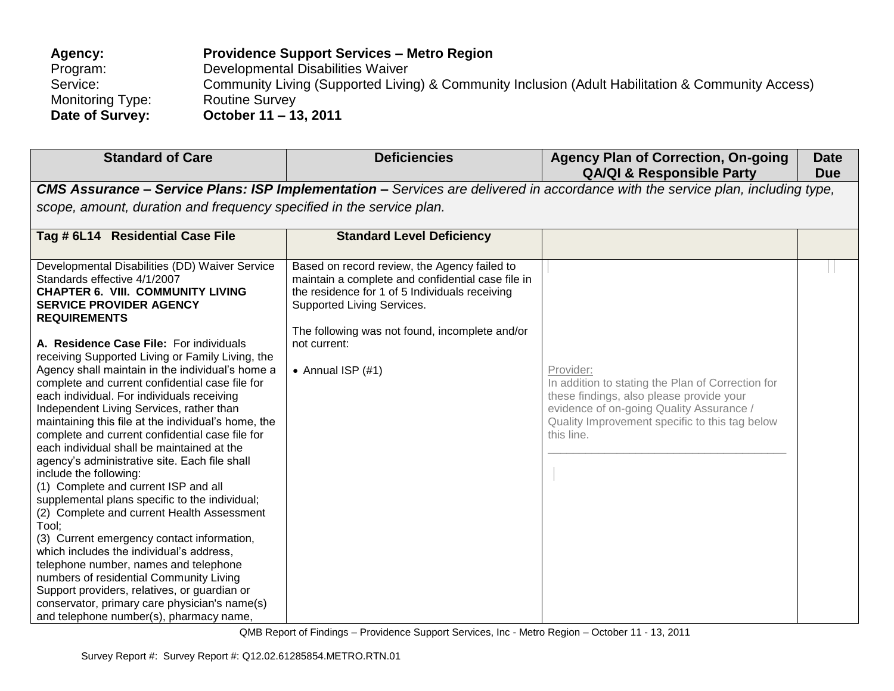| Agency:          | <b>Providence Support Services – Metro Region</b>                                                 |
|------------------|---------------------------------------------------------------------------------------------------|
| Program:         | Developmental Disabilities Waiver                                                                 |
| Service:         | Community Living (Supported Living) & Community Inclusion (Adult Habilitation & Community Access) |
| Monitoring Type: | <b>Routine Survey</b>                                                                             |
| Date of Survey:  | October 11 – 13, 2011                                                                             |

| <b>Standard of Care</b>                                                                                                                                                                                                                                                                                                                                                                                                                                                                                                                                                                                                                                                                                                                                                                                                                                                                                                                                                                                    | <b>Deficiencies</b>                                                                                                                                                                                                                 | <b>Agency Plan of Correction, On-going</b><br><b>QA/QI &amp; Responsible Party</b>                                                                                                                                     | <b>Date</b><br><b>Due</b> |
|------------------------------------------------------------------------------------------------------------------------------------------------------------------------------------------------------------------------------------------------------------------------------------------------------------------------------------------------------------------------------------------------------------------------------------------------------------------------------------------------------------------------------------------------------------------------------------------------------------------------------------------------------------------------------------------------------------------------------------------------------------------------------------------------------------------------------------------------------------------------------------------------------------------------------------------------------------------------------------------------------------|-------------------------------------------------------------------------------------------------------------------------------------------------------------------------------------------------------------------------------------|------------------------------------------------------------------------------------------------------------------------------------------------------------------------------------------------------------------------|---------------------------|
|                                                                                                                                                                                                                                                                                                                                                                                                                                                                                                                                                                                                                                                                                                                                                                                                                                                                                                                                                                                                            |                                                                                                                                                                                                                                     | <b>CMS Assurance – Service Plans: ISP Implementation –</b> Services are delivered in accordance with the service plan, including type,                                                                                 |                           |
| scope, amount, duration and frequency specified in the service plan.                                                                                                                                                                                                                                                                                                                                                                                                                                                                                                                                                                                                                                                                                                                                                                                                                                                                                                                                       |                                                                                                                                                                                                                                     |                                                                                                                                                                                                                        |                           |
| Tag # 6L14 Residential Case File                                                                                                                                                                                                                                                                                                                                                                                                                                                                                                                                                                                                                                                                                                                                                                                                                                                                                                                                                                           | <b>Standard Level Deficiency</b>                                                                                                                                                                                                    |                                                                                                                                                                                                                        |                           |
| Developmental Disabilities (DD) Waiver Service<br>Standards effective 4/1/2007<br><b>CHAPTER 6. VIII. COMMUNITY LIVING</b><br><b>SERVICE PROVIDER AGENCY</b><br><b>REQUIREMENTS</b>                                                                                                                                                                                                                                                                                                                                                                                                                                                                                                                                                                                                                                                                                                                                                                                                                        | Based on record review, the Agency failed to<br>maintain a complete and confidential case file in<br>the residence for 1 of 5 Individuals receiving<br>Supported Living Services.<br>The following was not found, incomplete and/or |                                                                                                                                                                                                                        |                           |
| A. Residence Case File: For individuals<br>receiving Supported Living or Family Living, the<br>Agency shall maintain in the individual's home a<br>complete and current confidential case file for<br>each individual. For individuals receiving<br>Independent Living Services, rather than<br>maintaining this file at the individual's home, the<br>complete and current confidential case file for<br>each individual shall be maintained at the<br>agency's administrative site. Each file shall<br>include the following:<br>(1) Complete and current ISP and all<br>supplemental plans specific to the individual;<br>(2) Complete and current Health Assessment<br>Tool:<br>(3) Current emergency contact information,<br>which includes the individual's address,<br>telephone number, names and telephone<br>numbers of residential Community Living<br>Support providers, relatives, or guardian or<br>conservator, primary care physician's name(s)<br>and telephone number(s), pharmacy name, | not current:<br>• Annual ISP $(#1)$                                                                                                                                                                                                 | Provider:<br>In addition to stating the Plan of Correction for<br>these findings, also please provide your<br>evidence of on-going Quality Assurance /<br>Quality Improvement specific to this tag below<br>this line. |                           |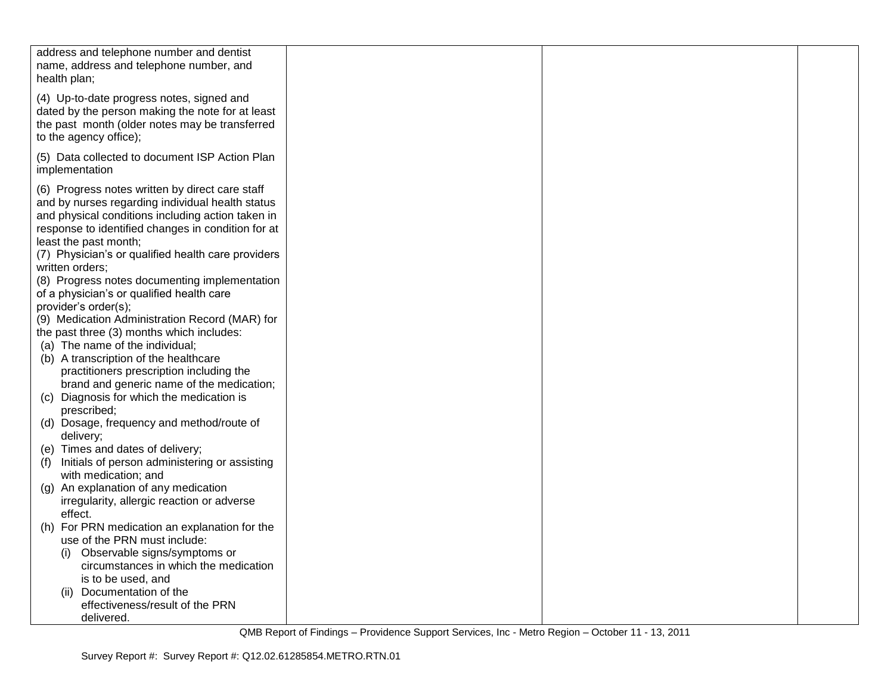| address and telephone number and dentist<br>name, address and telephone number, and<br>health plan;                                                                                                                                                                                           |  |  |
|-----------------------------------------------------------------------------------------------------------------------------------------------------------------------------------------------------------------------------------------------------------------------------------------------|--|--|
| (4) Up-to-date progress notes, signed and<br>dated by the person making the note for at least<br>the past month (older notes may be transferred<br>to the agency office);                                                                                                                     |  |  |
| (5) Data collected to document ISP Action Plan<br>implementation                                                                                                                                                                                                                              |  |  |
| (6) Progress notes written by direct care staff<br>and by nurses regarding individual health status<br>and physical conditions including action taken in<br>response to identified changes in condition for at<br>least the past month;<br>(7) Physician's or qualified health care providers |  |  |
| written orders;                                                                                                                                                                                                                                                                               |  |  |
| (8) Progress notes documenting implementation<br>of a physician's or qualified health care<br>provider's order(s);                                                                                                                                                                            |  |  |
| (9) Medication Administration Record (MAR) for                                                                                                                                                                                                                                                |  |  |
| the past three (3) months which includes:                                                                                                                                                                                                                                                     |  |  |
| (a) The name of the individual;                                                                                                                                                                                                                                                               |  |  |
| (b) A transcription of the healthcare                                                                                                                                                                                                                                                         |  |  |
| practitioners prescription including the                                                                                                                                                                                                                                                      |  |  |
| brand and generic name of the medication;<br>(c) Diagnosis for which the medication is                                                                                                                                                                                                        |  |  |
| prescribed;                                                                                                                                                                                                                                                                                   |  |  |
| (d) Dosage, frequency and method/route of<br>delivery;                                                                                                                                                                                                                                        |  |  |
| (e) Times and dates of delivery;                                                                                                                                                                                                                                                              |  |  |
| (f) Initials of person administering or assisting<br>with medication; and                                                                                                                                                                                                                     |  |  |
| An explanation of any medication<br>(g)                                                                                                                                                                                                                                                       |  |  |
| irregularity, allergic reaction or adverse                                                                                                                                                                                                                                                    |  |  |
| effect.<br>(h) For PRN medication an explanation for the                                                                                                                                                                                                                                      |  |  |
| use of the PRN must include:                                                                                                                                                                                                                                                                  |  |  |
| Observable signs/symptoms or<br>(i)                                                                                                                                                                                                                                                           |  |  |
| circumstances in which the medication                                                                                                                                                                                                                                                         |  |  |
| is to be used, and                                                                                                                                                                                                                                                                            |  |  |
| Documentation of the<br>(ii)                                                                                                                                                                                                                                                                  |  |  |
| effectiveness/result of the PRN                                                                                                                                                                                                                                                               |  |  |
| delivered.                                                                                                                                                                                                                                                                                    |  |  |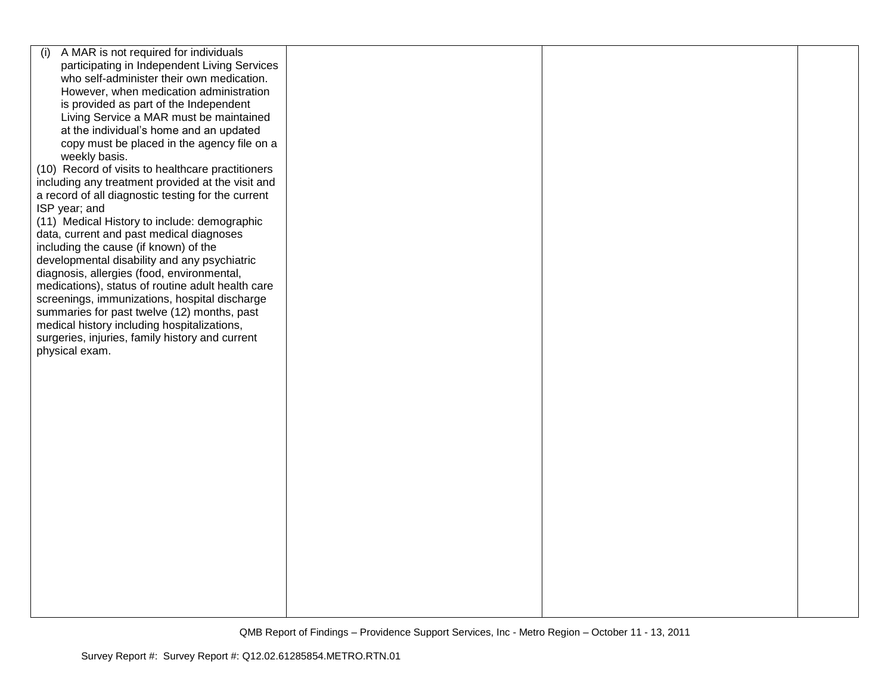| A MAR is not required for individuals<br>(i)       |  |  |
|----------------------------------------------------|--|--|
| participating in Independent Living Services       |  |  |
| who self-administer their own medication.          |  |  |
| However, when medication administration            |  |  |
| is provided as part of the Independent             |  |  |
| Living Service a MAR must be maintained            |  |  |
| at the individual's home and an updated            |  |  |
| copy must be placed in the agency file on a        |  |  |
| weekly basis.                                      |  |  |
| (10) Record of visits to healthcare practitioners  |  |  |
| including any treatment provided at the visit and  |  |  |
| a record of all diagnostic testing for the current |  |  |
| ISP year; and                                      |  |  |
| (11) Medical History to include: demographic       |  |  |
| data, current and past medical diagnoses           |  |  |
| including the cause (if known) of the              |  |  |
| developmental disability and any psychiatric       |  |  |
| diagnosis, allergies (food, environmental,         |  |  |
| medications), status of routine adult health care  |  |  |
| screenings, immunizations, hospital discharge      |  |  |
| summaries for past twelve (12) months, past        |  |  |
| medical history including hospitalizations,        |  |  |
| surgeries, injuries, family history and current    |  |  |
| physical exam.                                     |  |  |
|                                                    |  |  |
|                                                    |  |  |
|                                                    |  |  |
|                                                    |  |  |
|                                                    |  |  |
|                                                    |  |  |
|                                                    |  |  |
|                                                    |  |  |
|                                                    |  |  |
|                                                    |  |  |
|                                                    |  |  |
|                                                    |  |  |
|                                                    |  |  |
|                                                    |  |  |
|                                                    |  |  |
|                                                    |  |  |
|                                                    |  |  |
|                                                    |  |  |
|                                                    |  |  |
|                                                    |  |  |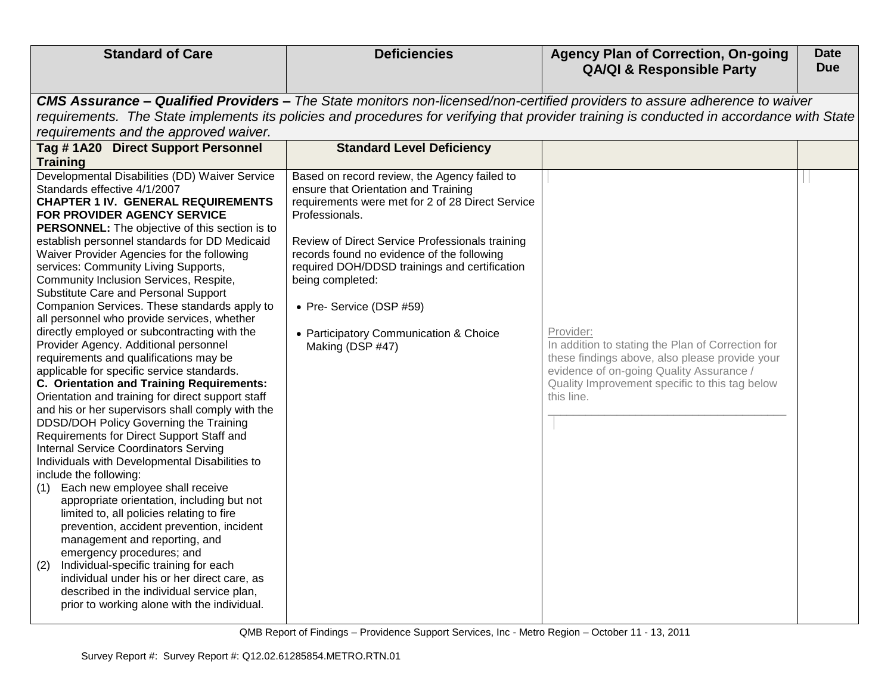| <b>Standard of Care</b>                                                                                                                                                                                                                                                                                                                                                                                                                                                                                                                                                                                                                                                                                                                                                                                                                                                                                                                                                                                                                                                                                                                                                                                                                                                                                                                                                                                                                                                                                                                   | <b>Deficiencies</b>                                                                                                                                                                                                                                                                                                                                                                                                        | <b>Agency Plan of Correction, On-going</b><br><b>QA/QI &amp; Responsible Party</b>                                                                                                                                           | <b>Date</b><br><b>Due</b> |  |  |  |
|-------------------------------------------------------------------------------------------------------------------------------------------------------------------------------------------------------------------------------------------------------------------------------------------------------------------------------------------------------------------------------------------------------------------------------------------------------------------------------------------------------------------------------------------------------------------------------------------------------------------------------------------------------------------------------------------------------------------------------------------------------------------------------------------------------------------------------------------------------------------------------------------------------------------------------------------------------------------------------------------------------------------------------------------------------------------------------------------------------------------------------------------------------------------------------------------------------------------------------------------------------------------------------------------------------------------------------------------------------------------------------------------------------------------------------------------------------------------------------------------------------------------------------------------|----------------------------------------------------------------------------------------------------------------------------------------------------------------------------------------------------------------------------------------------------------------------------------------------------------------------------------------------------------------------------------------------------------------------------|------------------------------------------------------------------------------------------------------------------------------------------------------------------------------------------------------------------------------|---------------------------|--|--|--|
| CMS Assurance - Qualified Providers - The State monitors non-licensed/non-certified providers to assure adherence to waiver<br>requirements. The State implements its policies and procedures for verifying that provider training is conducted in accordance with State<br>requirements and the approved waiver.                                                                                                                                                                                                                                                                                                                                                                                                                                                                                                                                                                                                                                                                                                                                                                                                                                                                                                                                                                                                                                                                                                                                                                                                                         |                                                                                                                                                                                                                                                                                                                                                                                                                            |                                                                                                                                                                                                                              |                           |  |  |  |
| Tag #1A20 Direct Support Personnel<br><b>Training</b>                                                                                                                                                                                                                                                                                                                                                                                                                                                                                                                                                                                                                                                                                                                                                                                                                                                                                                                                                                                                                                                                                                                                                                                                                                                                                                                                                                                                                                                                                     | <b>Standard Level Deficiency</b>                                                                                                                                                                                                                                                                                                                                                                                           |                                                                                                                                                                                                                              |                           |  |  |  |
| Developmental Disabilities (DD) Waiver Service<br>Standards effective 4/1/2007<br><b>CHAPTER 1 IV. GENERAL REQUIREMENTS</b><br>FOR PROVIDER AGENCY SERVICE<br>PERSONNEL: The objective of this section is to<br>establish personnel standards for DD Medicaid<br>Waiver Provider Agencies for the following<br>services: Community Living Supports,<br>Community Inclusion Services, Respite,<br>Substitute Care and Personal Support<br>Companion Services. These standards apply to<br>all personnel who provide services, whether<br>directly employed or subcontracting with the<br>Provider Agency. Additional personnel<br>requirements and qualifications may be<br>applicable for specific service standards.<br>C. Orientation and Training Requirements:<br>Orientation and training for direct support staff<br>and his or her supervisors shall comply with the<br>DDSD/DOH Policy Governing the Training<br>Requirements for Direct Support Staff and<br><b>Internal Service Coordinators Serving</b><br>Individuals with Developmental Disabilities to<br>include the following:<br>Each new employee shall receive<br>(1)<br>appropriate orientation, including but not<br>limited to, all policies relating to fire<br>prevention, accident prevention, incident<br>management and reporting, and<br>emergency procedures; and<br>Individual-specific training for each<br>(2)<br>individual under his or her direct care, as<br>described in the individual service plan,<br>prior to working alone with the individual. | Based on record review, the Agency failed to<br>ensure that Orientation and Training<br>requirements were met for 2 of 28 Direct Service<br>Professionals.<br>Review of Direct Service Professionals training<br>records found no evidence of the following<br>required DOH/DDSD trainings and certification<br>being completed:<br>• Pre- Service (DSP #59)<br>• Participatory Communication & Choice<br>Making (DSP #47) | Provider:<br>In addition to stating the Plan of Correction for<br>these findings above, also please provide your<br>evidence of on-going Quality Assurance /<br>Quality Improvement specific to this tag below<br>this line. |                           |  |  |  |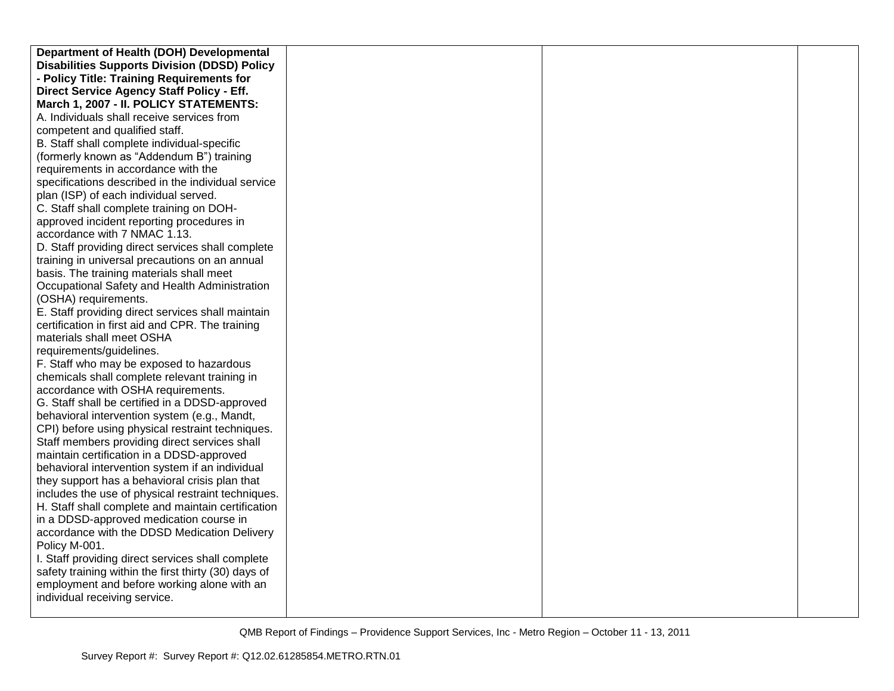| Department of Health (DOH) Developmental             |  |  |
|------------------------------------------------------|--|--|
| <b>Disabilities Supports Division (DDSD) Policy</b>  |  |  |
| - Policy Title: Training Requirements for            |  |  |
| Direct Service Agency Staff Policy - Eff.            |  |  |
| March 1, 2007 - II. POLICY STATEMENTS:               |  |  |
| A. Individuals shall receive services from           |  |  |
| competent and qualified staff.                       |  |  |
| B. Staff shall complete individual-specific          |  |  |
| (formerly known as "Addendum B") training            |  |  |
| requirements in accordance with the                  |  |  |
| specifications described in the individual service   |  |  |
| plan (ISP) of each individual served.                |  |  |
| C. Staff shall complete training on DOH-             |  |  |
| approved incident reporting procedures in            |  |  |
| accordance with 7 NMAC 1.13.                         |  |  |
| D. Staff providing direct services shall complete    |  |  |
| training in universal precautions on an annual       |  |  |
| basis. The training materials shall meet             |  |  |
| Occupational Safety and Health Administration        |  |  |
| (OSHA) requirements.                                 |  |  |
| E. Staff providing direct services shall maintain    |  |  |
| certification in first aid and CPR. The training     |  |  |
| materials shall meet OSHA                            |  |  |
| requirements/guidelines.                             |  |  |
| F. Staff who may be exposed to hazardous             |  |  |
| chemicals shall complete relevant training in        |  |  |
| accordance with OSHA requirements.                   |  |  |
| G. Staff shall be certified in a DDSD-approved       |  |  |
| behavioral intervention system (e.g., Mandt,         |  |  |
| CPI) before using physical restraint techniques.     |  |  |
| Staff members providing direct services shall        |  |  |
| maintain certification in a DDSD-approved            |  |  |
| behavioral intervention system if an individual      |  |  |
| they support has a behavioral crisis plan that       |  |  |
| includes the use of physical restraint techniques.   |  |  |
| H. Staff shall complete and maintain certification   |  |  |
| in a DDSD-approved medication course in              |  |  |
| accordance with the DDSD Medication Delivery         |  |  |
| Policy M-001.                                        |  |  |
| I. Staff providing direct services shall complete    |  |  |
| safety training within the first thirty (30) days of |  |  |
| employment and before working alone with an          |  |  |
| individual receiving service.                        |  |  |
|                                                      |  |  |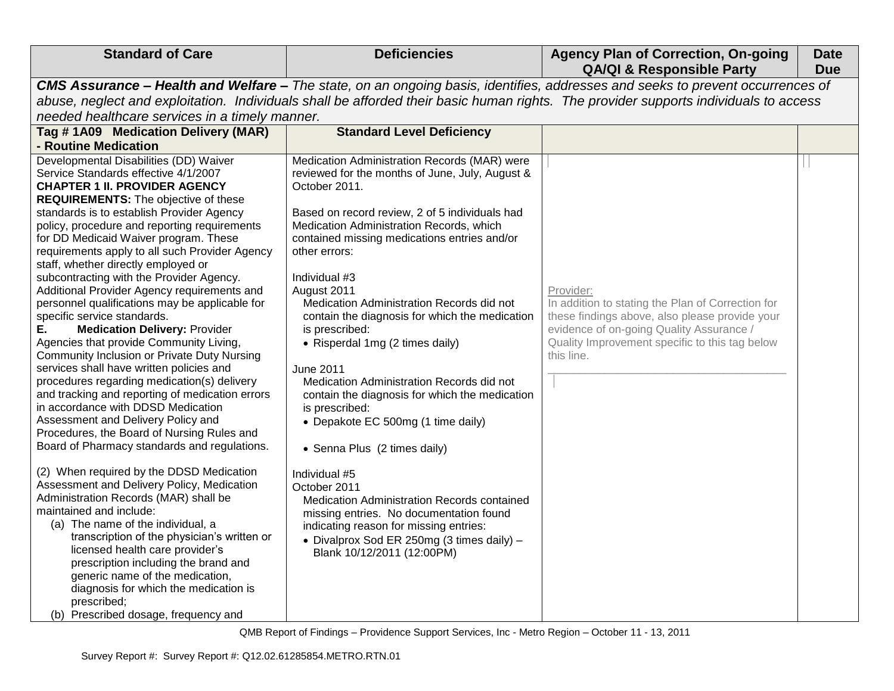| <b>Standard of Care</b>                                                                                                                                                                                                                                                                                                                                                                                                                                                                                                                                                                                                                                                                                                                                                                                                                                                                                                                                                                                                                                                                                                                                                                                                                                                                                                                                                                                                                                                                                          | <b>Deficiencies</b>                                                                                                                                                                                                                                                                                                                                                                                                                                                                                                                                                                                                                                                                                                                                                                                                                                                                                                             | <b>Agency Plan of Correction, On-going</b><br><b>QA/QI &amp; Responsible Party</b>                                                                                                                                           | <b>Date</b><br><b>Due</b> |  |
|------------------------------------------------------------------------------------------------------------------------------------------------------------------------------------------------------------------------------------------------------------------------------------------------------------------------------------------------------------------------------------------------------------------------------------------------------------------------------------------------------------------------------------------------------------------------------------------------------------------------------------------------------------------------------------------------------------------------------------------------------------------------------------------------------------------------------------------------------------------------------------------------------------------------------------------------------------------------------------------------------------------------------------------------------------------------------------------------------------------------------------------------------------------------------------------------------------------------------------------------------------------------------------------------------------------------------------------------------------------------------------------------------------------------------------------------------------------------------------------------------------------|---------------------------------------------------------------------------------------------------------------------------------------------------------------------------------------------------------------------------------------------------------------------------------------------------------------------------------------------------------------------------------------------------------------------------------------------------------------------------------------------------------------------------------------------------------------------------------------------------------------------------------------------------------------------------------------------------------------------------------------------------------------------------------------------------------------------------------------------------------------------------------------------------------------------------------|------------------------------------------------------------------------------------------------------------------------------------------------------------------------------------------------------------------------------|---------------------------|--|
| CMS Assurance - Health and Welfare - The state, on an ongoing basis, identifies, addresses and seeks to prevent occurrences of<br>abuse, neglect and exploitation. Individuals shall be afforded their basic human rights. The provider supports individuals to access<br>needed healthcare services in a timely manner.                                                                                                                                                                                                                                                                                                                                                                                                                                                                                                                                                                                                                                                                                                                                                                                                                                                                                                                                                                                                                                                                                                                                                                                         |                                                                                                                                                                                                                                                                                                                                                                                                                                                                                                                                                                                                                                                                                                                                                                                                                                                                                                                                 |                                                                                                                                                                                                                              |                           |  |
| Tag #1A09 Medication Delivery (MAR)<br>- Routine Medication                                                                                                                                                                                                                                                                                                                                                                                                                                                                                                                                                                                                                                                                                                                                                                                                                                                                                                                                                                                                                                                                                                                                                                                                                                                                                                                                                                                                                                                      | <b>Standard Level Deficiency</b>                                                                                                                                                                                                                                                                                                                                                                                                                                                                                                                                                                                                                                                                                                                                                                                                                                                                                                |                                                                                                                                                                                                                              |                           |  |
| Developmental Disabilities (DD) Waiver<br>Service Standards effective 4/1/2007<br><b>CHAPTER 1 II. PROVIDER AGENCY</b><br><b>REQUIREMENTS:</b> The objective of these<br>standards is to establish Provider Agency<br>policy, procedure and reporting requirements<br>for DD Medicaid Waiver program. These<br>requirements apply to all such Provider Agency<br>staff, whether directly employed or<br>subcontracting with the Provider Agency.<br>Additional Provider Agency requirements and<br>personnel qualifications may be applicable for<br>specific service standards.<br>Е.<br><b>Medication Delivery: Provider</b><br>Agencies that provide Community Living,<br>Community Inclusion or Private Duty Nursing<br>services shall have written policies and<br>procedures regarding medication(s) delivery<br>and tracking and reporting of medication errors<br>in accordance with DDSD Medication<br>Assessment and Delivery Policy and<br>Procedures, the Board of Nursing Rules and<br>Board of Pharmacy standards and regulations.<br>(2) When required by the DDSD Medication<br>Assessment and Delivery Policy, Medication<br>Administration Records (MAR) shall be<br>maintained and include:<br>(a) The name of the individual, a<br>transcription of the physician's written or<br>licensed health care provider's<br>prescription including the brand and<br>generic name of the medication,<br>diagnosis for which the medication is<br>prescribed;<br>(b) Prescribed dosage, frequency and | Medication Administration Records (MAR) were<br>reviewed for the months of June, July, August &<br>October 2011.<br>Based on record review, 2 of 5 individuals had<br>Medication Administration Records, which<br>contained missing medications entries and/or<br>other errors:<br>Individual #3<br>August 2011<br>Medication Administration Records did not<br>contain the diagnosis for which the medication<br>is prescribed:<br>• Risperdal 1mg (2 times daily)<br><b>June 2011</b><br>Medication Administration Records did not<br>contain the diagnosis for which the medication<br>is prescribed:<br>• Depakote EC 500mg (1 time daily)<br>• Senna Plus (2 times daily)<br>Individual #5<br>October 2011<br>Medication Administration Records contained<br>missing entries. No documentation found<br>indicating reason for missing entries:<br>• Divalprox Sod ER 250mg (3 times daily) -<br>Blank 10/12/2011 (12:00PM) | Provider:<br>In addition to stating the Plan of Correction for<br>these findings above, also please provide your<br>evidence of on-going Quality Assurance /<br>Quality Improvement specific to this tag below<br>this line. |                           |  |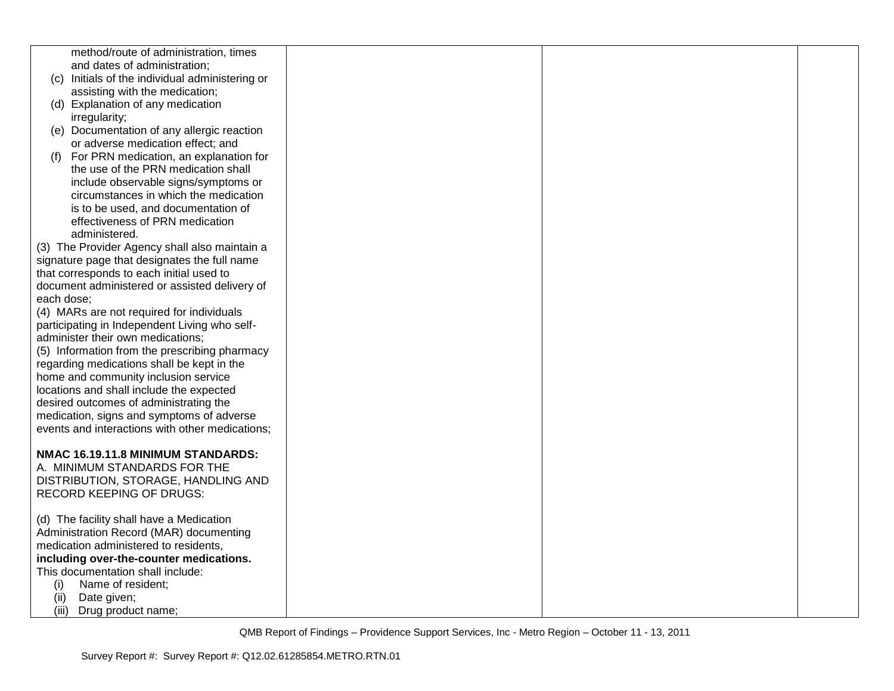| method/route of administration, times<br>and dates of administration; |  |
|-----------------------------------------------------------------------|--|
|                                                                       |  |
|                                                                       |  |
| (c) Initials of the individual administering or                       |  |
| assisting with the medication;                                        |  |
| (d) Explanation of any medication                                     |  |
| irregularity;                                                         |  |
| (e) Documentation of any allergic reaction                            |  |
| or adverse medication effect; and                                     |  |
|                                                                       |  |
| For PRN medication, an explanation for<br>(f)                         |  |
| the use of the PRN medication shall                                   |  |
| include observable signs/symptoms or                                  |  |
| circumstances in which the medication                                 |  |
| is to be used, and documentation of                                   |  |
| effectiveness of PRN medication                                       |  |
| administered.                                                         |  |
| (3) The Provider Agency shall also maintain a                         |  |
| signature page that designates the full name                          |  |
| that corresponds to each initial used to                              |  |
| document administered or assisted delivery of                         |  |
| each dose:                                                            |  |
| (4) MARs are not required for individuals                             |  |
| participating in Independent Living who self-                         |  |
| administer their own medications;                                     |  |
| (5) Information from the prescribing pharmacy                         |  |
| regarding medications shall be kept in the                            |  |
| home and community inclusion service                                  |  |
| locations and shall include the expected                              |  |
| desired outcomes of administrating the                                |  |
|                                                                       |  |
| medication, signs and symptoms of adverse                             |  |
| events and interactions with other medications;                       |  |
|                                                                       |  |
| NMAC 16.19.11.8 MINIMUM STANDARDS:                                    |  |
| A. MINIMUM STANDARDS FOR THE                                          |  |
| DISTRIBUTION, STORAGE, HANDLING AND                                   |  |
| <b>RECORD KEEPING OF DRUGS:</b>                                       |  |
|                                                                       |  |
| (d) The facility shall have a Medication                              |  |
| Administration Record (MAR) documenting                               |  |
| medication administered to residents,                                 |  |
| including over-the-counter medications.                               |  |
| This documentation shall include:                                     |  |
| (i)<br>Name of resident;                                              |  |
| Date given;<br>(ii)                                                   |  |
| (iii)<br>Drug product name;                                           |  |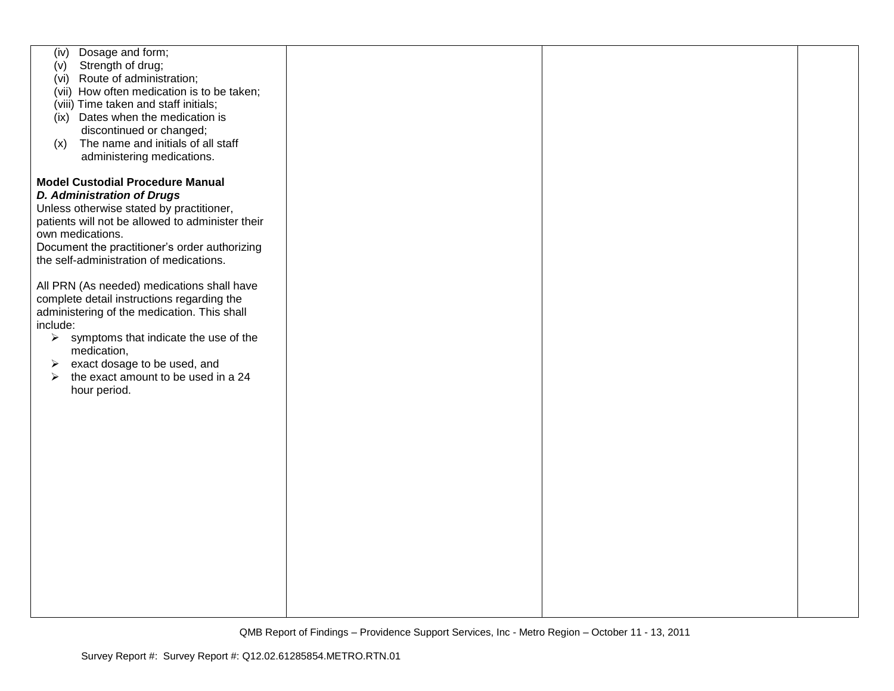| Dosage and form;<br>(iv)                                       |  |  |
|----------------------------------------------------------------|--|--|
| Strength of drug;<br>(v)                                       |  |  |
|                                                                |  |  |
| (vi) Route of administration;                                  |  |  |
| (vii) How often medication is to be taken;                     |  |  |
| (viii) Time taken and staff initials;                          |  |  |
|                                                                |  |  |
| (ix) Dates when the medication is                              |  |  |
| discontinued or changed;                                       |  |  |
| The name and initials of all staff<br>(x)                      |  |  |
|                                                                |  |  |
| administering medications.                                     |  |  |
|                                                                |  |  |
| <b>Model Custodial Procedure Manual</b>                        |  |  |
|                                                                |  |  |
| <b>D. Administration of Drugs</b>                              |  |  |
| Unless otherwise stated by practitioner,                       |  |  |
| patients will not be allowed to administer their               |  |  |
|                                                                |  |  |
| own medications.                                               |  |  |
| Document the practitioner's order authorizing                  |  |  |
| the self-administration of medications.                        |  |  |
|                                                                |  |  |
|                                                                |  |  |
| All PRN (As needed) medications shall have                     |  |  |
| complete detail instructions regarding the                     |  |  |
| administering of the medication. This shall                    |  |  |
|                                                                |  |  |
| include:                                                       |  |  |
| symptoms that indicate the use of the<br>$\blacktriangleright$ |  |  |
| medication,                                                    |  |  |
|                                                                |  |  |
| exact dosage to be used, and<br>➤                              |  |  |
| the exact amount to be used in a 24<br>$\blacktriangleright$   |  |  |
| hour period.                                                   |  |  |
|                                                                |  |  |
|                                                                |  |  |
|                                                                |  |  |
|                                                                |  |  |
|                                                                |  |  |
|                                                                |  |  |
|                                                                |  |  |
|                                                                |  |  |
|                                                                |  |  |
|                                                                |  |  |
|                                                                |  |  |
|                                                                |  |  |
|                                                                |  |  |
|                                                                |  |  |
|                                                                |  |  |
|                                                                |  |  |
|                                                                |  |  |
|                                                                |  |  |
|                                                                |  |  |
|                                                                |  |  |
|                                                                |  |  |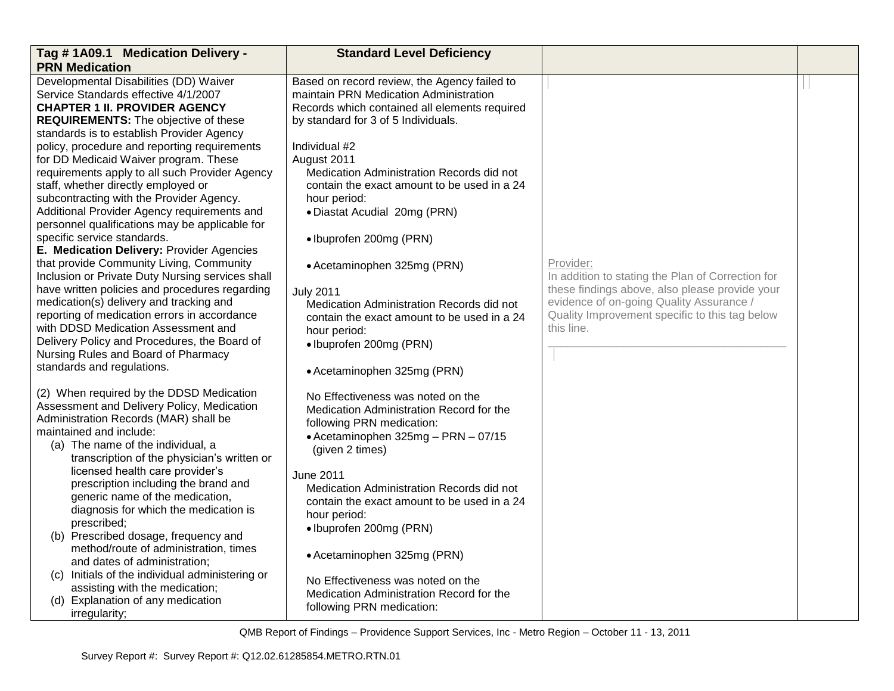| Tag #1A09.1 Medication Delivery -                                                                                                                                                                                                                                                                                                                             | <b>Standard Level Deficiency</b>                                                                                                                                                                                                                            |                                                                                            |  |
|---------------------------------------------------------------------------------------------------------------------------------------------------------------------------------------------------------------------------------------------------------------------------------------------------------------------------------------------------------------|-------------------------------------------------------------------------------------------------------------------------------------------------------------------------------------------------------------------------------------------------------------|--------------------------------------------------------------------------------------------|--|
| <b>PRN Medication</b>                                                                                                                                                                                                                                                                                                                                         |                                                                                                                                                                                                                                                             |                                                                                            |  |
| Developmental Disabilities (DD) Waiver<br>Service Standards effective 4/1/2007<br><b>CHAPTER 1 II. PROVIDER AGENCY</b><br><b>REQUIREMENTS:</b> The objective of these<br>standards is to establish Provider Agency<br>policy, procedure and reporting requirements<br>for DD Medicaid Waiver program. These<br>requirements apply to all such Provider Agency | Based on record review, the Agency failed to<br>maintain PRN Medication Administration<br>Records which contained all elements required<br>by standard for 3 of 5 Individuals.<br>Individual #2<br>August 2011<br>Medication Administration Records did not |                                                                                            |  |
| staff, whether directly employed or<br>subcontracting with the Provider Agency.<br>Additional Provider Agency requirements and<br>personnel qualifications may be applicable for                                                                                                                                                                              | contain the exact amount to be used in a 24<br>hour period:<br>• Diastat Acudial 20mg (PRN)                                                                                                                                                                 |                                                                                            |  |
| specific service standards.                                                                                                                                                                                                                                                                                                                                   | · Ibuprofen 200mg (PRN)                                                                                                                                                                                                                                     |                                                                                            |  |
| E. Medication Delivery: Provider Agencies<br>that provide Community Living, Community<br>Inclusion or Private Duty Nursing services shall                                                                                                                                                                                                                     | • Acetaminophen 325mg (PRN)                                                                                                                                                                                                                                 | Provider:<br>In addition to stating the Plan of Correction for                             |  |
| have written policies and procedures regarding<br>medication(s) delivery and tracking and                                                                                                                                                                                                                                                                     | <b>July 2011</b>                                                                                                                                                                                                                                            | these findings above, also please provide your<br>evidence of on-going Quality Assurance / |  |
| reporting of medication errors in accordance<br>with DDSD Medication Assessment and<br>Delivery Policy and Procedures, the Board of<br>Nursing Rules and Board of Pharmacy<br>standards and regulations.                                                                                                                                                      | Medication Administration Records did not<br>contain the exact amount to be used in a 24<br>hour period:<br>· Ibuprofen 200mg (PRN)                                                                                                                         | Quality Improvement specific to this tag below<br>this line.                               |  |
|                                                                                                                                                                                                                                                                                                                                                               | • Acetaminophen 325mg (PRN)                                                                                                                                                                                                                                 |                                                                                            |  |
| (2) When required by the DDSD Medication<br>Assessment and Delivery Policy, Medication<br>Administration Records (MAR) shall be<br>maintained and include:<br>(a) The name of the individual, a<br>transcription of the physician's written or                                                                                                                | No Effectiveness was noted on the<br>Medication Administration Record for the<br>following PRN medication:<br>• Acetaminophen 325mg - PRN - 07/15<br>(given 2 times)                                                                                        |                                                                                            |  |
| licensed health care provider's<br>prescription including the brand and<br>generic name of the medication,<br>diagnosis for which the medication is<br>prescribed;                                                                                                                                                                                            | June 2011<br>Medication Administration Records did not<br>contain the exact amount to be used in a 24<br>hour period:<br>· Ibuprofen 200mg (PRN)                                                                                                            |                                                                                            |  |
| (b) Prescribed dosage, frequency and<br>method/route of administration, times<br>and dates of administration;                                                                                                                                                                                                                                                 | • Acetaminophen 325mg (PRN)                                                                                                                                                                                                                                 |                                                                                            |  |
| (c) Initials of the individual administering or<br>assisting with the medication;<br>(d) Explanation of any medication<br>irregularity;                                                                                                                                                                                                                       | No Effectiveness was noted on the<br>Medication Administration Record for the<br>following PRN medication:                                                                                                                                                  |                                                                                            |  |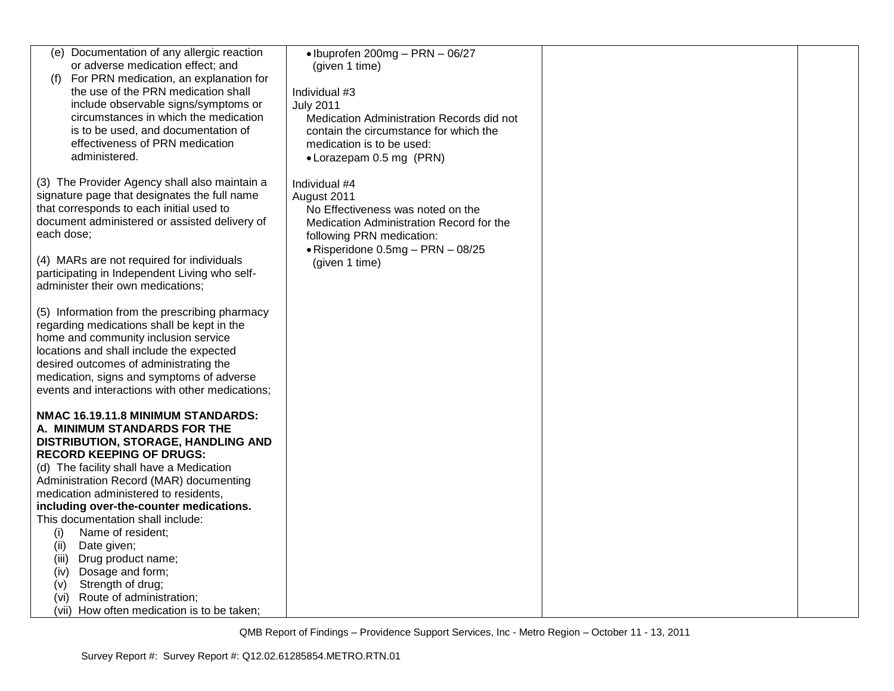| (e) Documentation of any allergic reaction                                                  | • Ibuprofen 200mg - PRN - 06/27                                                     |  |
|---------------------------------------------------------------------------------------------|-------------------------------------------------------------------------------------|--|
| or adverse medication effect; and                                                           | (given 1 time)                                                                      |  |
| For PRN medication, an explanation for<br>(f)                                               |                                                                                     |  |
| the use of the PRN medication shall                                                         | Individual #3                                                                       |  |
| include observable signs/symptoms or<br>circumstances in which the medication               | <b>July 2011</b>                                                                    |  |
| is to be used, and documentation of                                                         | Medication Administration Records did not<br>contain the circumstance for which the |  |
| effectiveness of PRN medication                                                             | medication is to be used:                                                           |  |
| administered.                                                                               | • Lorazepam 0.5 mg (PRN)                                                            |  |
|                                                                                             |                                                                                     |  |
| (3) The Provider Agency shall also maintain a                                               | Individual #4                                                                       |  |
| signature page that designates the full name                                                | August 2011                                                                         |  |
| that corresponds to each initial used to                                                    | No Effectiveness was noted on the                                                   |  |
| document administered or assisted delivery of<br>each dose;                                 | Medication Administration Record for the                                            |  |
|                                                                                             | following PRN medication:<br>• Risperidone 0.5mg - PRN - 08/25                      |  |
| (4) MARs are not required for individuals                                                   | (given 1 time)                                                                      |  |
| participating in Independent Living who self-                                               |                                                                                     |  |
| administer their own medications;                                                           |                                                                                     |  |
|                                                                                             |                                                                                     |  |
| (5) Information from the prescribing pharmacy<br>regarding medications shall be kept in the |                                                                                     |  |
| home and community inclusion service                                                        |                                                                                     |  |
| locations and shall include the expected                                                    |                                                                                     |  |
| desired outcomes of administrating the                                                      |                                                                                     |  |
| medication, signs and symptoms of adverse                                                   |                                                                                     |  |
| events and interactions with other medications;                                             |                                                                                     |  |
| NMAC 16.19.11.8 MINIMUM STANDARDS:                                                          |                                                                                     |  |
| A. MINIMUM STANDARDS FOR THE                                                                |                                                                                     |  |
| DISTRIBUTION, STORAGE, HANDLING AND                                                         |                                                                                     |  |
| <b>RECORD KEEPING OF DRUGS:</b>                                                             |                                                                                     |  |
| (d) The facility shall have a Medication                                                    |                                                                                     |  |
| Administration Record (MAR) documenting                                                     |                                                                                     |  |
| medication administered to residents,<br>including over-the-counter medications.            |                                                                                     |  |
| This documentation shall include:                                                           |                                                                                     |  |
| (i)<br>Name of resident:                                                                    |                                                                                     |  |
| Date given;<br>(ii)                                                                         |                                                                                     |  |
| Drug product name;<br>(iii)                                                                 |                                                                                     |  |
| Dosage and form;<br>(iv)                                                                    |                                                                                     |  |
| Strength of drug;<br>(v)                                                                    |                                                                                     |  |
| Route of administration;<br>(vi)                                                            |                                                                                     |  |
| (vii) How often medication is to be taken;                                                  |                                                                                     |  |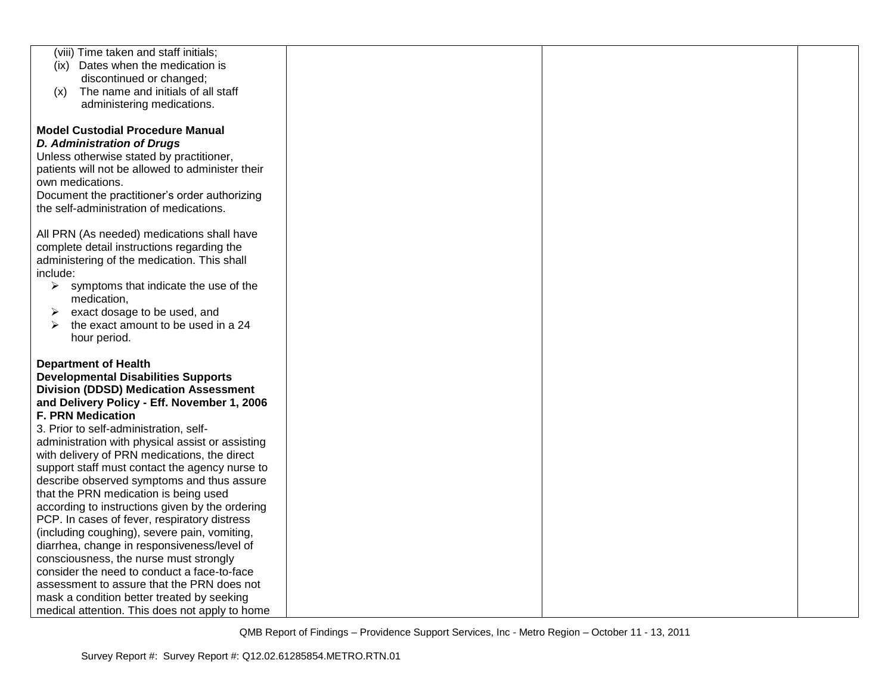| (viii) Time taken and staff initials;                                                    |  |  |
|------------------------------------------------------------------------------------------|--|--|
| (ix) Dates when the medication is                                                        |  |  |
| discontinued or changed;                                                                 |  |  |
| The name and initials of all staff<br>(x)                                                |  |  |
| administering medications.                                                               |  |  |
|                                                                                          |  |  |
| <b>Model Custodial Procedure Manual</b>                                                  |  |  |
| <b>D. Administration of Drugs</b>                                                        |  |  |
| Unless otherwise stated by practitioner,                                                 |  |  |
| patients will not be allowed to administer their                                         |  |  |
| own medications.                                                                         |  |  |
| Document the practitioner's order authorizing                                            |  |  |
| the self-administration of medications.                                                  |  |  |
|                                                                                          |  |  |
| All PRN (As needed) medications shall have<br>complete detail instructions regarding the |  |  |
| administering of the medication. This shall                                              |  |  |
| include:                                                                                 |  |  |
| symptoms that indicate the use of the<br>➤                                               |  |  |
| medication,                                                                              |  |  |
| exact dosage to be used, and<br>➤                                                        |  |  |
| the exact amount to be used in a 24<br>⋗                                                 |  |  |
| hour period.                                                                             |  |  |
|                                                                                          |  |  |
| <b>Department of Health</b>                                                              |  |  |
| <b>Developmental Disabilities Supports</b>                                               |  |  |
| <b>Division (DDSD) Medication Assessment</b>                                             |  |  |
| and Delivery Policy - Eff. November 1, 2006                                              |  |  |
| <b>F. PRN Medication</b>                                                                 |  |  |
| 3. Prior to self-administration, self-                                                   |  |  |
| administration with physical assist or assisting                                         |  |  |
| with delivery of PRN medications, the direct                                             |  |  |
| support staff must contact the agency nurse to                                           |  |  |
| describe observed symptoms and thus assure                                               |  |  |
| that the PRN medication is being used                                                    |  |  |
| according to instructions given by the ordering                                          |  |  |
| PCP. In cases of fever, respiratory distress                                             |  |  |
| (including coughing), severe pain, vomiting,                                             |  |  |
| diarrhea, change in responsiveness/level of                                              |  |  |
| consciousness, the nurse must strongly<br>consider the need to conduct a face-to-face    |  |  |
| assessment to assure that the PRN does not                                               |  |  |
| mask a condition better treated by seeking                                               |  |  |
| medical attention. This does not apply to home                                           |  |  |
|                                                                                          |  |  |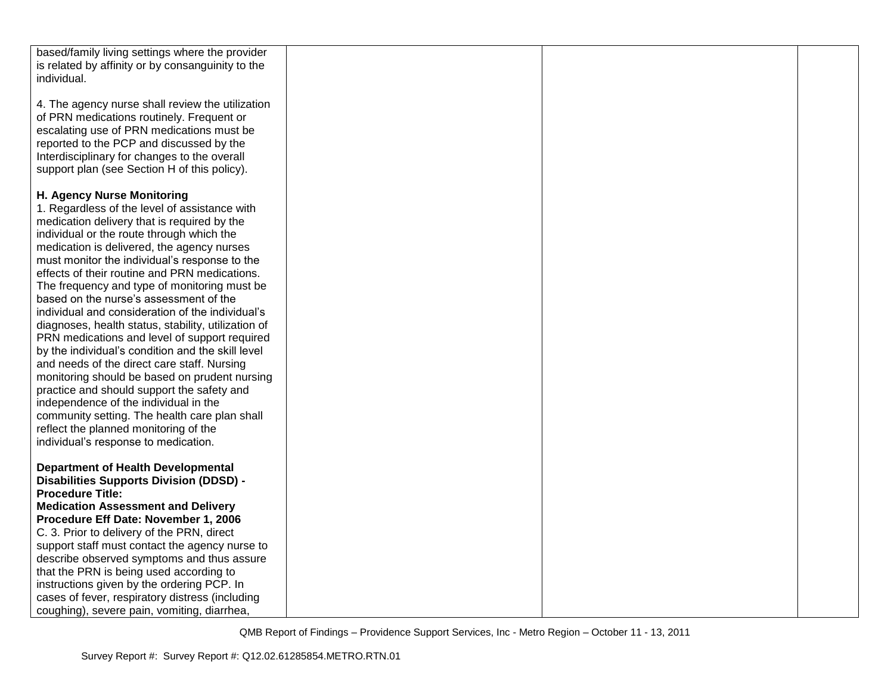| based/family living settings where the provider     |  |  |
|-----------------------------------------------------|--|--|
| is related by affinity or by consanguinity to the   |  |  |
| individual.                                         |  |  |
|                                                     |  |  |
| 4. The agency nurse shall review the utilization    |  |  |
| of PRN medications routinely. Frequent or           |  |  |
|                                                     |  |  |
| escalating use of PRN medications must be           |  |  |
| reported to the PCP and discussed by the            |  |  |
| Interdisciplinary for changes to the overall        |  |  |
| support plan (see Section H of this policy).        |  |  |
|                                                     |  |  |
| H. Agency Nurse Monitoring                          |  |  |
| 1. Regardless of the level of assistance with       |  |  |
| medication delivery that is required by the         |  |  |
| individual or the route through which the           |  |  |
|                                                     |  |  |
| medication is delivered, the agency nurses          |  |  |
| must monitor the individual's response to the       |  |  |
| effects of their routine and PRN medications.       |  |  |
| The frequency and type of monitoring must be        |  |  |
| based on the nurse's assessment of the              |  |  |
| individual and consideration of the individual's    |  |  |
| diagnoses, health status, stability, utilization of |  |  |
| PRN medications and level of support required       |  |  |
| by the individual's condition and the skill level   |  |  |
| and needs of the direct care staff. Nursing         |  |  |
| monitoring should be based on prudent nursing       |  |  |
| practice and should support the safety and          |  |  |
| independence of the individual in the               |  |  |
|                                                     |  |  |
| community setting. The health care plan shall       |  |  |
| reflect the planned monitoring of the               |  |  |
| individual's response to medication.                |  |  |
|                                                     |  |  |
| <b>Department of Health Developmental</b>           |  |  |
| <b>Disabilities Supports Division (DDSD) -</b>      |  |  |
| <b>Procedure Title:</b>                             |  |  |
| <b>Medication Assessment and Delivery</b>           |  |  |
| Procedure Eff Date: November 1, 2006                |  |  |
| C. 3. Prior to delivery of the PRN, direct          |  |  |
| support staff must contact the agency nurse to      |  |  |
| describe observed symptoms and thus assure          |  |  |
|                                                     |  |  |
| that the PRN is being used according to             |  |  |
| instructions given by the ordering PCP. In          |  |  |
| cases of fever, respiratory distress (including     |  |  |
| coughing), severe pain, vomiting, diarrhea,         |  |  |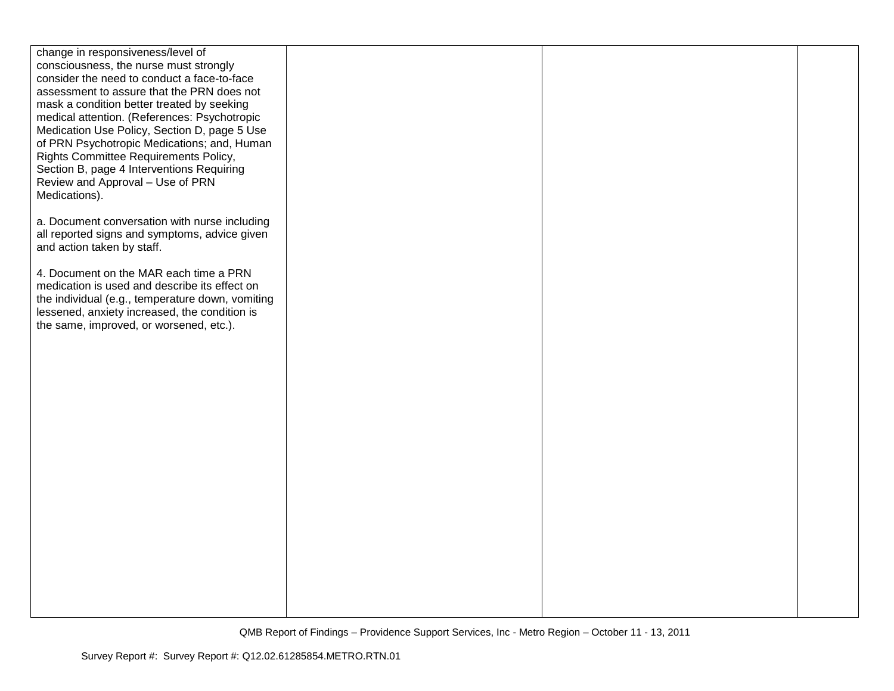| change in responsiveness/level of                |  |  |
|--------------------------------------------------|--|--|
| consciousness, the nurse must strongly           |  |  |
| consider the need to conduct a face-to-face      |  |  |
| assessment to assure that the PRN does not       |  |  |
| mask a condition better treated by seeking       |  |  |
| medical attention. (References: Psychotropic     |  |  |
| Medication Use Policy, Section D, page 5 Use     |  |  |
| of PRN Psychotropic Medications; and, Human      |  |  |
| Rights Committee Requirements Policy,            |  |  |
| Section B, page 4 Interventions Requiring        |  |  |
| Review and Approval - Use of PRN                 |  |  |
| Medications).                                    |  |  |
|                                                  |  |  |
| a. Document conversation with nurse including    |  |  |
| all reported signs and symptoms, advice given    |  |  |
| and action taken by staff.                       |  |  |
| 4. Document on the MAR each time a PRN           |  |  |
| medication is used and describe its effect on    |  |  |
| the individual (e.g., temperature down, vomiting |  |  |
| lessened, anxiety increased, the condition is    |  |  |
| the same, improved, or worsened, etc.).          |  |  |
|                                                  |  |  |
|                                                  |  |  |
|                                                  |  |  |
|                                                  |  |  |
|                                                  |  |  |
|                                                  |  |  |
|                                                  |  |  |
|                                                  |  |  |
|                                                  |  |  |
|                                                  |  |  |
|                                                  |  |  |
|                                                  |  |  |
|                                                  |  |  |
|                                                  |  |  |
|                                                  |  |  |
|                                                  |  |  |
|                                                  |  |  |
|                                                  |  |  |
|                                                  |  |  |
|                                                  |  |  |
|                                                  |  |  |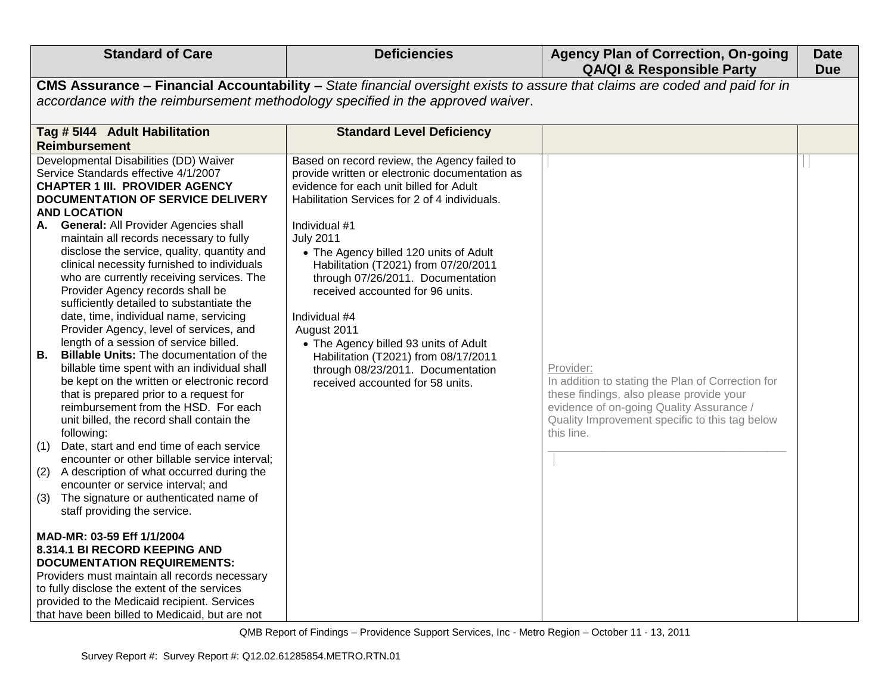| <b>Standard of Care</b>                                                                                                                                                                                                                                                                                                                                                                                                                                                                                                                                                                                                                                                                                                                                                                                                                                                                                                                                                                                                                                                                                                                                                                                                                                                                                                                                                                                                                                                                                                                            | <b>Deficiencies</b>                                                                                                                                                                                                                                                                                                                                                                                                                                                                                                                                                                  | <b>Agency Plan of Correction, On-going</b><br><b>QA/QI &amp; Responsible Party</b>                                                                                                                                     | <b>Date</b><br><b>Due</b> |
|----------------------------------------------------------------------------------------------------------------------------------------------------------------------------------------------------------------------------------------------------------------------------------------------------------------------------------------------------------------------------------------------------------------------------------------------------------------------------------------------------------------------------------------------------------------------------------------------------------------------------------------------------------------------------------------------------------------------------------------------------------------------------------------------------------------------------------------------------------------------------------------------------------------------------------------------------------------------------------------------------------------------------------------------------------------------------------------------------------------------------------------------------------------------------------------------------------------------------------------------------------------------------------------------------------------------------------------------------------------------------------------------------------------------------------------------------------------------------------------------------------------------------------------------------|--------------------------------------------------------------------------------------------------------------------------------------------------------------------------------------------------------------------------------------------------------------------------------------------------------------------------------------------------------------------------------------------------------------------------------------------------------------------------------------------------------------------------------------------------------------------------------------|------------------------------------------------------------------------------------------------------------------------------------------------------------------------------------------------------------------------|---------------------------|
| CMS Assurance - Financial Accountability - State financial oversight exists to assure that claims are coded and paid for in<br>accordance with the reimbursement methodology specified in the approved waiver.                                                                                                                                                                                                                                                                                                                                                                                                                                                                                                                                                                                                                                                                                                                                                                                                                                                                                                                                                                                                                                                                                                                                                                                                                                                                                                                                     |                                                                                                                                                                                                                                                                                                                                                                                                                                                                                                                                                                                      |                                                                                                                                                                                                                        |                           |
| Tag # 5144 Adult Habilitation<br><b>Reimbursement</b>                                                                                                                                                                                                                                                                                                                                                                                                                                                                                                                                                                                                                                                                                                                                                                                                                                                                                                                                                                                                                                                                                                                                                                                                                                                                                                                                                                                                                                                                                              | <b>Standard Level Deficiency</b>                                                                                                                                                                                                                                                                                                                                                                                                                                                                                                                                                     |                                                                                                                                                                                                                        |                           |
| Developmental Disabilities (DD) Waiver<br>Service Standards effective 4/1/2007<br><b>CHAPTER 1 III. PROVIDER AGENCY</b><br><b>DOCUMENTATION OF SERVICE DELIVERY</b><br><b>AND LOCATION</b><br><b>General: All Provider Agencies shall</b><br>А.<br>maintain all records necessary to fully<br>disclose the service, quality, quantity and<br>clinical necessity furnished to individuals<br>who are currently receiving services. The<br>Provider Agency records shall be<br>sufficiently detailed to substantiate the<br>date, time, individual name, servicing<br>Provider Agency, level of services, and<br>length of a session of service billed.<br><b>Billable Units: The documentation of the</b><br>В.<br>billable time spent with an individual shall<br>be kept on the written or electronic record<br>that is prepared prior to a request for<br>reimbursement from the HSD. For each<br>unit billed, the record shall contain the<br>following:<br>(1)<br>Date, start and end time of each service<br>encounter or other billable service interval;<br>(2)<br>A description of what occurred during the<br>encounter or service interval; and<br>The signature or authenticated name of<br>(3)<br>staff providing the service.<br>MAD-MR: 03-59 Eff 1/1/2004<br>8.314.1 BI RECORD KEEPING AND<br><b>DOCUMENTATION REQUIREMENTS:</b><br>Providers must maintain all records necessary<br>to fully disclose the extent of the services<br>provided to the Medicaid recipient. Services<br>that have been billed to Medicaid, but are not | Based on record review, the Agency failed to<br>provide written or electronic documentation as<br>evidence for each unit billed for Adult<br>Habilitation Services for 2 of 4 individuals.<br>Individual #1<br><b>July 2011</b><br>• The Agency billed 120 units of Adult<br>Habilitation (T2021) from 07/20/2011<br>through 07/26/2011. Documentation<br>received accounted for 96 units.<br>Individual #4<br>August 2011<br>• The Agency billed 93 units of Adult<br>Habilitation (T2021) from 08/17/2011<br>through 08/23/2011. Documentation<br>received accounted for 58 units. | Provider:<br>In addition to stating the Plan of Correction for<br>these findings, also please provide your<br>evidence of on-going Quality Assurance /<br>Quality Improvement specific to this tag below<br>this line. |                           |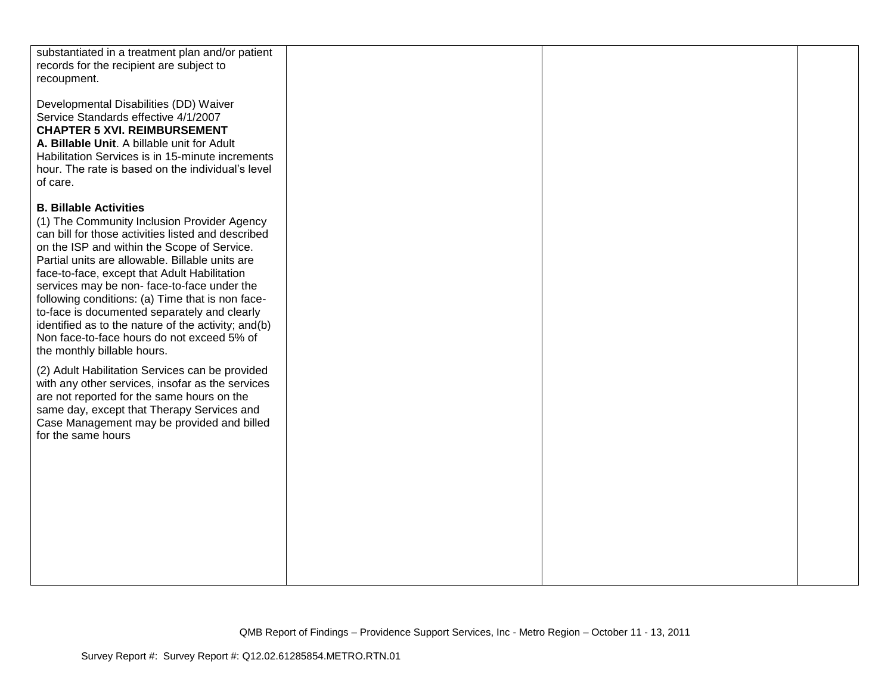| substantiated in a treatment plan and/or patient<br>records for the recipient are subject to                                                                                                                                                                                                                                                                                                                                                                                                                                                                                                                                                                                                                                                                                                                                                      |  |  |
|---------------------------------------------------------------------------------------------------------------------------------------------------------------------------------------------------------------------------------------------------------------------------------------------------------------------------------------------------------------------------------------------------------------------------------------------------------------------------------------------------------------------------------------------------------------------------------------------------------------------------------------------------------------------------------------------------------------------------------------------------------------------------------------------------------------------------------------------------|--|--|
| recoupment.                                                                                                                                                                                                                                                                                                                                                                                                                                                                                                                                                                                                                                                                                                                                                                                                                                       |  |  |
| Developmental Disabilities (DD) Waiver<br>Service Standards effective 4/1/2007<br><b>CHAPTER 5 XVI. REIMBURSEMENT</b><br>A. Billable Unit. A billable unit for Adult<br>Habilitation Services is in 15-minute increments<br>hour. The rate is based on the individual's level<br>of care.                                                                                                                                                                                                                                                                                                                                                                                                                                                                                                                                                         |  |  |
| <b>B. Billable Activities</b><br>(1) The Community Inclusion Provider Agency<br>can bill for those activities listed and described<br>on the ISP and within the Scope of Service.<br>Partial units are allowable. Billable units are<br>face-to-face, except that Adult Habilitation<br>services may be non-face-to-face under the<br>following conditions: (a) Time that is non face-<br>to-face is documented separately and clearly<br>identified as to the nature of the activity; and(b)<br>Non face-to-face hours do not exceed 5% of<br>the monthly billable hours.<br>(2) Adult Habilitation Services can be provided<br>with any other services, insofar as the services<br>are not reported for the same hours on the<br>same day, except that Therapy Services and<br>Case Management may be provided and billed<br>for the same hours |  |  |
|                                                                                                                                                                                                                                                                                                                                                                                                                                                                                                                                                                                                                                                                                                                                                                                                                                                   |  |  |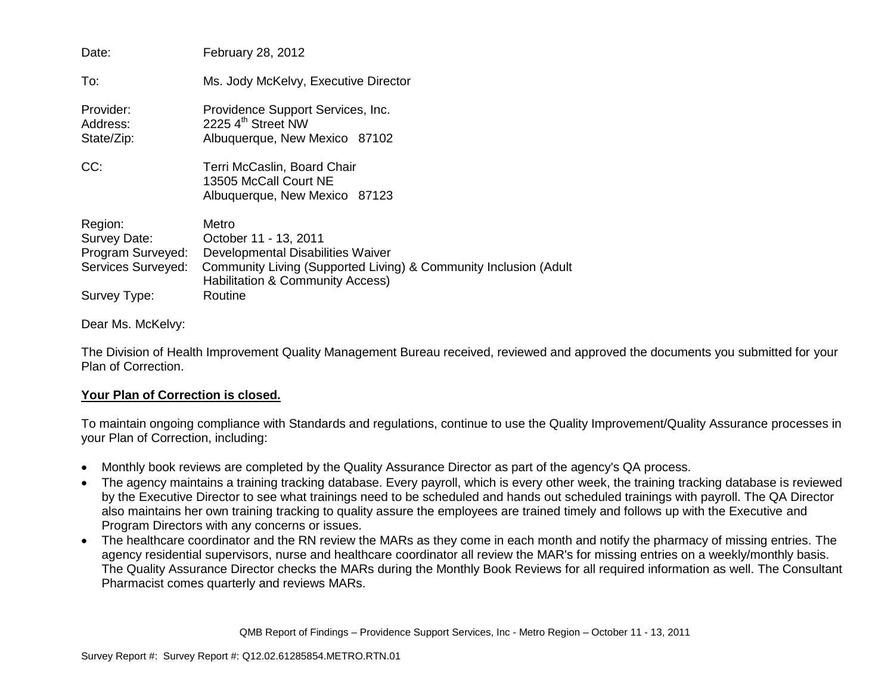| Date:                                                                              | February 28, 2012                                                                                                                                                                      |
|------------------------------------------------------------------------------------|----------------------------------------------------------------------------------------------------------------------------------------------------------------------------------------|
| To:                                                                                | Ms. Jody McKelvy, Executive Director                                                                                                                                                   |
| Provider:<br>Address:<br>State/Zip:                                                | Providence Support Services, Inc.<br>2225 4 <sup>th</sup> Street NW<br>Albuquerque, New Mexico 87102                                                                                   |
| CC:                                                                                | Terri McCaslin, Board Chair<br>13505 McCall Court NE<br>Albuquerque, New Mexico 87123                                                                                                  |
| Region:<br>Survey Date:<br>Program Surveyed:<br>Services Surveyed:<br>Survey Type: | Metro<br>October 11 - 13, 2011<br>Developmental Disabilities Waiver<br>Community Living (Supported Living) & Community Inclusion (Adult<br>Habilitation & Community Access)<br>Routine |

Dear Ms. McKelvy:

The Division of Health Improvement Quality Management Bureau received, reviewed and approved the documents you submitted for your Plan of Correction.

## **Your Plan of Correction is closed.**

To maintain ongoing compliance with Standards and regulations, continue to use the Quality Improvement/Quality Assurance processes in your Plan of Correction, including:

- Monthly book reviews are completed by the Quality Assurance Director as part of the agency's QA process.
- The agency maintains a training tracking database. Every payroll, which is every other week, the training tracking database is reviewed by the Executive Director to see what trainings need to be scheduled and hands out scheduled trainings with payroll. The QA Director also maintains her own training tracking to quality assure the employees are trained timely and follows up with the Executive and Program Directors with any concerns or issues.
- The healthcare coordinator and the RN review the MARs as they come in each month and notify the pharmacy of missing entries. The agency residential supervisors, nurse and healthcare coordinator all review the MAR's for missing entries on a weekly/monthly basis. The Quality Assurance Director checks the MARs during the Monthly Book Reviews for all required information as well. The Consultant Pharmacist comes quarterly and reviews MARs.